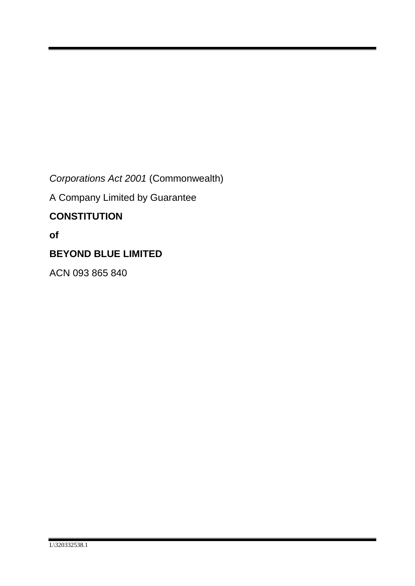*Corporations Act 2001* (Commonwealth)

A Company Limited by Guarantee

# **CONSTITUTION**

**of**

# **BEYOND BLUE LIMITED**

ACN 093 865 840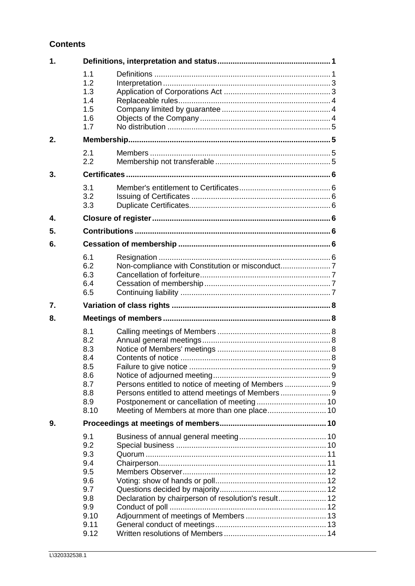## **Contents**

| 1. |                                                                     |                                                  |  |  |
|----|---------------------------------------------------------------------|--------------------------------------------------|--|--|
|    | 1.1<br>1.2<br>1.3<br>1.4<br>1.5<br>1.6<br>1.7                       |                                                  |  |  |
| 2. |                                                                     |                                                  |  |  |
|    | 2.1<br>2.2                                                          |                                                  |  |  |
| 3. |                                                                     |                                                  |  |  |
|    | 3.1<br>3.2<br>3.3                                                   |                                                  |  |  |
| 4. |                                                                     |                                                  |  |  |
| 5. |                                                                     |                                                  |  |  |
| 6. |                                                                     |                                                  |  |  |
|    | 6.1<br>6.2<br>6.3<br>6.4<br>6.5                                     |                                                  |  |  |
|    |                                                                     |                                                  |  |  |
| 7. |                                                                     |                                                  |  |  |
| 8. |                                                                     |                                                  |  |  |
|    | 8.1<br>8.2<br>8.3<br>8.4<br>8.5<br>8.6<br>8.7<br>8.8<br>8.9<br>8.10 | Persons entitled to attend meetings of Members 9 |  |  |
| 9. | 9.1                                                                 |                                                  |  |  |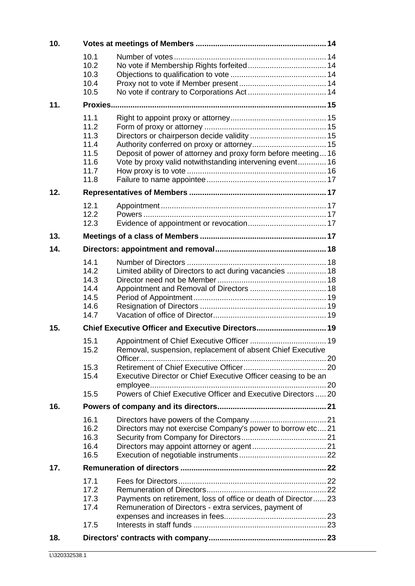| 10. |                                                              |                                                                                                                              |  |
|-----|--------------------------------------------------------------|------------------------------------------------------------------------------------------------------------------------------|--|
|     | 10.1<br>10.2<br>10.3<br>10.4<br>10.5                         |                                                                                                                              |  |
| 11. |                                                              |                                                                                                                              |  |
|     | 11.1<br>11.2<br>11.3<br>11.4<br>11.5<br>11.6<br>11.7<br>11.8 | Deposit of power of attorney and proxy form before meeting 16<br>Vote by proxy valid notwithstanding intervening event 16    |  |
| 12. |                                                              |                                                                                                                              |  |
|     | 12.1<br>12.2<br>12.3                                         |                                                                                                                              |  |
| 13. |                                                              |                                                                                                                              |  |
| 14. |                                                              |                                                                                                                              |  |
|     | 14.1<br>14.2<br>14.3<br>14.4<br>14.5<br>14.6<br>14.7         | Limited ability of Directors to act during vacancies  18                                                                     |  |
| 15. | Chief Executive Officer and Executive Directors 19           |                                                                                                                              |  |
|     | 15.1<br>15.2<br>15.3<br>15.4                                 | Removal, suspension, replacement of absent Chief Executive<br>Executive Director or Chief Executive Officer ceasing to be an |  |
|     | 15.5                                                         | Powers of Chief Executive Officer and Executive Directors  20                                                                |  |
| 16. | 16.1<br>16.2<br>16.3<br>16.4<br>16.5                         | Directors may not exercise Company's power to borrow etc 21                                                                  |  |
| 17. |                                                              |                                                                                                                              |  |
|     | 17.1<br>17.2<br>17.3<br>17.4<br>17.5                         | Payments on retirement, loss of office or death of Director 23<br>Remuneration of Directors - extra services, payment of     |  |
| 18. |                                                              |                                                                                                                              |  |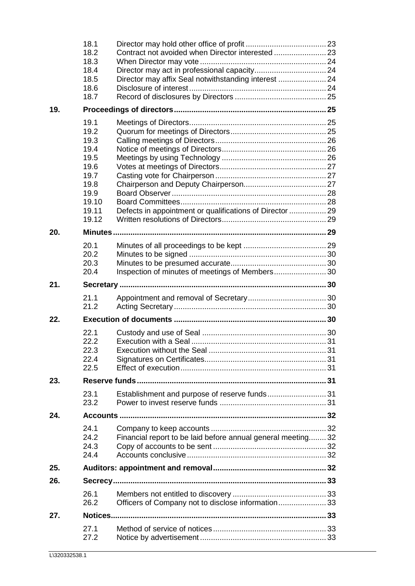|     | 18.1<br>18.2 |                                                              |  |
|-----|--------------|--------------------------------------------------------------|--|
|     | 18.3<br>18.4 |                                                              |  |
|     | 18.5         | Director may affix Seal notwithstanding interest  24         |  |
|     | 18.6         |                                                              |  |
|     | 18.7         |                                                              |  |
| 19. |              |                                                              |  |
|     | 19.1         |                                                              |  |
|     | 19.2         |                                                              |  |
|     | 19.3         |                                                              |  |
|     | 19.4         |                                                              |  |
|     | 19.5         |                                                              |  |
|     | 19.6         |                                                              |  |
|     | 19.7         |                                                              |  |
|     | 19.8<br>19.9 |                                                              |  |
|     | 19.10        |                                                              |  |
|     | 19.11        | Defects in appointment or qualifications of Director  29     |  |
|     | 19.12        |                                                              |  |
| 20. |              |                                                              |  |
|     | 20.1         |                                                              |  |
|     | 20.2         |                                                              |  |
|     | 20.3         |                                                              |  |
|     | 20.4         | Inspection of minutes of meetings of Members 30              |  |
| 21. |              |                                                              |  |
|     |              |                                                              |  |
|     |              |                                                              |  |
|     | 21.1<br>21.2 |                                                              |  |
| 22. |              |                                                              |  |
|     | 22.1         |                                                              |  |
|     | 22.2         |                                                              |  |
|     | 22.3         |                                                              |  |
|     | 22.4         |                                                              |  |
|     | 22.5         |                                                              |  |
| 23. |              |                                                              |  |
|     | 23.1         |                                                              |  |
|     | 23.2         |                                                              |  |
| 24. |              |                                                              |  |
|     | 24.1         |                                                              |  |
|     | 24.2         | Financial report to be laid before annual general meeting 32 |  |
|     | 24.3         |                                                              |  |
|     | 24.4         |                                                              |  |
| 25. |              |                                                              |  |
| 26. |              |                                                              |  |
|     | 26.1         |                                                              |  |
|     | 26.2         | Officers of Company not to disclose information 33           |  |
| 27. | Notices      |                                                              |  |
|     |              |                                                              |  |
|     | 27.1<br>27.2 |                                                              |  |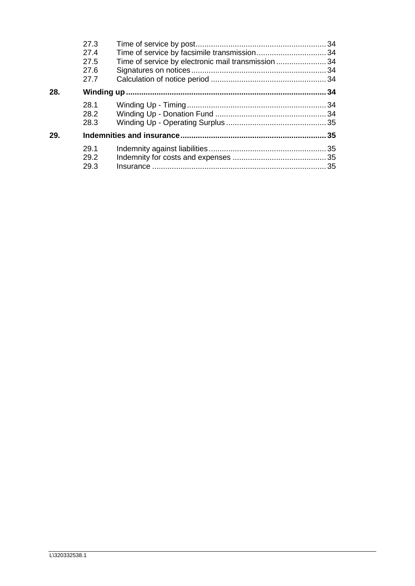|     | 27.3<br>27.4<br>27.5<br>27.6<br>27.7 | Time of service by electronic mail transmission 34 |    |
|-----|--------------------------------------|----------------------------------------------------|----|
| 28. |                                      |                                                    |    |
|     | 28.1<br>28.2<br>28.3                 |                                                    |    |
| 29. |                                      |                                                    | 35 |
|     | 29.1<br>29.2<br>29.3                 |                                                    |    |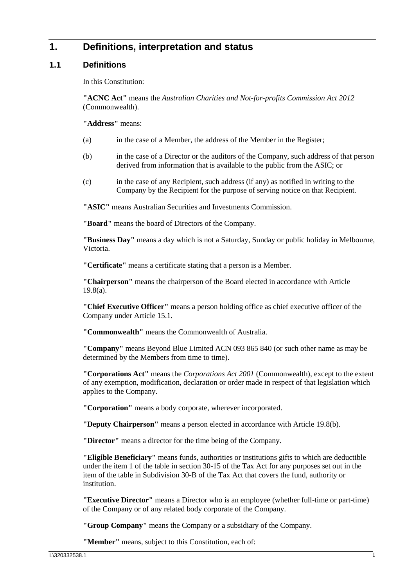## <span id="page-5-0"></span>**1. Definitions, interpretation and status**

### <span id="page-5-1"></span>**1.1 Definitions**

In this Constitution:

**"ACNC Act"** means the *[Australian Charities and Not-for-profits Commission Act 2012](https://www.legislation.gov.au/Details/C2012A00168)* (Commonwealth).

**"Address"** means:

- (a) in the case of a Member, the address of the Member in the Register;
- (b) in the case of a Director or the auditors of the Company, such address of that person derived from information that is available to the public from the ASIC; or
- (c) in the case of any Recipient, such address (if any) as notified in writing to the Company by the Recipient for the purpose of serving notice on that Recipient.

**"ASIC"** means Australian Securities and Investments Commission.

**"Board"** means the board of Directors of the Company.

**"Business Day"** means a day which is not a Saturday, Sunday or public holiday in Melbourne, Victoria.

**"Certificate"** means a certificate stating that a person is a Member.

**"Chairperson"** means the chairperson of the Board elected in accordance with Article [19.8\(a\).](#page-31-3)

**"Chief Executive Officer"** means a person holding office as chief executive officer of the Company under Article [15.1.](#page-23-4)

**"Commonwealth"** means the Commonwealth of Australia.

**"Company"** means Beyond Blue Limited ACN 093 865 840 (or such other name as may be determined by the Members from time to time).

**"Corporations Act"** means the *Corporations Act 2001* (Commonwealth), except to the extent of any exemption, modification, declaration or order made in respect of that legislation which applies to the Company.

**"Corporation"** means a body corporate, wherever incorporated.

**"Deputy Chairperson"** means a person elected in accordance with Article [19.8\(b\).](#page-31-4)

**"Director"** means a director for the time being of the Company.

**"Eligible Beneficiary"** means funds, authorities or institutions gifts to which are deductible under the item 1 of the table in section 30-15 of the Tax Act for any purposes set out in the item of the table in Subdivision 30-B of the Tax Act that covers the fund, authority or institution.

**"Executive Director"** means a Director who is an employee (whether full-time or part-time) of the Company or of any related body corporate of the Company.

**"Group Company"** means the Company or a subsidiary of the Company.

**"Member"** means, subject to this Constitution, each of: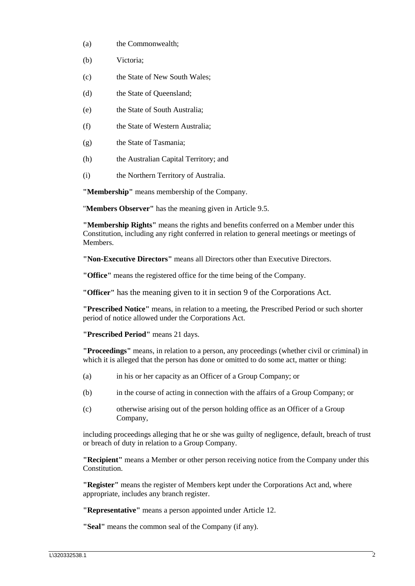- (a) the Commonwealth;
- (b) Victoria;
- (c) the State of New South Wales;
- (d) the State of Queensland;
- (e) the State of South Australia;
- (f) the State of Western Australia;
- (g) the State of Tasmania;
- (h) the Australian Capital Territory; and
- (i) the Northern Territory of Australia.

**"Membership"** means membership of the Company.

"**Members Observer"** has the meaning given in Article [9.5.](#page-16-0)

**"Membership Rights"** means the rights and benefits conferred on a Member under this Constitution, including any right conferred in relation to general meetings or meetings of Members.

**"Non-Executive Directors"** means all Directors other than Executive Directors.

**"Office"** means the registered office for the time being of the Company.

**"Officer"** has the meaning given to it in section 9 of the Corporations Act.

**"Prescribed Notice"** means, in relation to a meeting, the Prescribed Period or such shorter period of notice allowed under the Corporations Act.

**"Prescribed Period"** means 21 days.

**"Proceedings"** means, in relation to a person, any proceedings (whether civil or criminal) in which it is alleged that the person has done or omitted to do some act, matter or thing:

- (a) in his or her capacity as an Officer of a Group Company; or
- (b) in the course of acting in connection with the affairs of a Group Company; or
- (c) otherwise arising out of the person holding office as an Officer of a Group Company,

including proceedings alleging that he or she was guilty of negligence, default, breach of trust or breach of duty in relation to a Group Company.

**"Recipient"** means a Member or other person receiving notice from the Company under this Constitution.

**"Register"** means the register of Members kept under the Corporations Act and, where appropriate, includes any branch register.

**"Representative"** means a person appointed under Article [12.](#page-21-1)

**"Seal"** means the common seal of the Company (if any).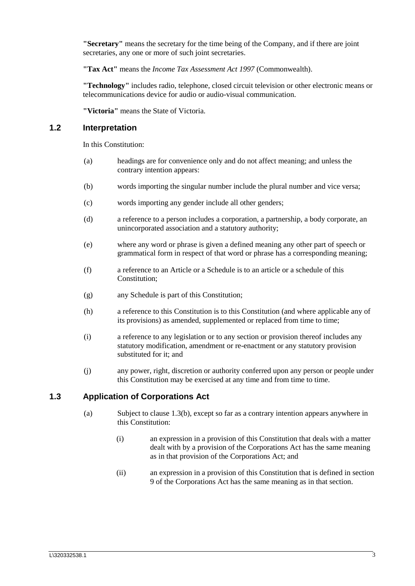**"Secretary"** means the secretary for the time being of the Company, and if there are joint secretaries, any one or more of such joint secretaries.

**"Tax Act"** means the *Income Tax Assessment Act 1997* (Commonwealth).

**"Technology"** includes radio, telephone, closed circuit television or other electronic means or telecommunications device for audio or audio-visual communication.

**"Victoria"** means the State of Victoria.

#### <span id="page-7-0"></span>**1.2 Interpretation**

In this Constitution:

- (a) headings are for convenience only and do not affect meaning; and unless the contrary intention appears:
- (b) words importing the singular number include the plural number and vice versa;
- (c) words importing any gender include all other genders;
- (d) a reference to a person includes a corporation, a partnership, a body corporate, an unincorporated association and a statutory authority;
- (e) where any word or phrase is given a defined meaning any other part of speech or grammatical form in respect of that word or phrase has a corresponding meaning;
- (f) a reference to an Article or a Schedule is to an article or a schedule of this Constitution;
- (g) any Schedule is part of this Constitution;
- (h) a reference to this Constitution is to this Constitution (and where applicable any of its provisions) as amended, supplemented or replaced from time to time;
- (i) a reference to any legislation or to any section or provision thereof includes any statutory modification, amendment or re-enactment or any statutory provision substituted for it; and
- (j) any power, right, discretion or authority conferred upon any person or people under this Constitution may be exercised at any time and from time to time.

### <span id="page-7-1"></span>**1.3 Application of Corporations Act**

- (a) Subject to clause [1.3\(b\),](#page-8-3) except so far as a contrary intention appears anywhere in this Constitution:
	- (i) an expression in a provision of this Constitution that deals with a matter dealt with by a provision of the Corporations Act has the same meaning as in that provision of the Corporations Act; and
	- (ii) an expression in a provision of this Constitution that is defined in section 9 of the Corporations Act has the same meaning as in that section.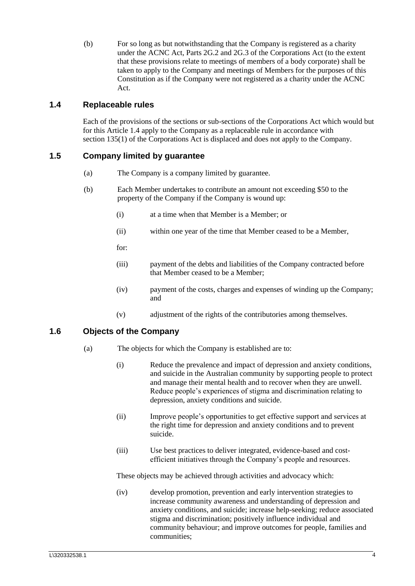<span id="page-8-3"></span>(b) For so long as but notwithstanding that the Company is registered as a charity under the ACNC Act, Parts 2G.2 and 2G.3 of the Corporations Act (to the extent that these provisions relate to meetings of members of a body corporate) shall be taken to apply to the Company and meetings of Members for the purposes of this Constitution as if the Company were not registered as a charity under the ACNC Act.

## <span id="page-8-0"></span>**1.4 Replaceable rules**

Each of the provisions of the sections or sub-sections of the Corporations Act which would but for this Article [1.4](#page-8-0) apply to the Company as a replaceable rule in accordance with section 135(1) of the Corporations Act is displaced and does not apply to the Company.

## <span id="page-8-1"></span>**1.5 Company limited by guarantee**

- (a) The Company is a company limited by guarantee.
- (b) Each Member undertakes to contribute an amount not exceeding \$50 to the property of the Company if the Company is wound up:
	- (i) at a time when that Member is a Member; or
	- (ii) within one year of the time that Member ceased to be a Member,
	- for:
	- (iii) payment of the debts and liabilities of the Company contracted before that Member ceased to be a Member;
	- (iv) payment of the costs, charges and expenses of winding up the Company; and
	- (v) adjustment of the rights of the contributories among themselves.

## <span id="page-8-2"></span>**1.6 Objects of the Company**

- (a) The objects for which the Company is established are to:
	- (i) Reduce the prevalence and impact of depression and anxiety conditions, and suicide in the Australian community by supporting people to protect and manage their mental health and to recover when they are unwell. Reduce people's experiences of stigma and discrimination relating to depression, anxiety conditions and suicide.
	- (ii) Improve people's opportunities to get effective support and services at the right time for depression and anxiety conditions and to prevent suicide.
	- (iii) Use best practices to deliver integrated, evidence-based and costefficient initiatives through the Company's people and resources.

These objects may be achieved through activities and advocacy which:

(iv) develop promotion, prevention and early intervention strategies to increase community awareness and understanding of depression and anxiety conditions, and suicide; increase help-seeking; reduce associated stigma and discrimination; positively influence individual and community behaviour; and improve outcomes for people, families and communities;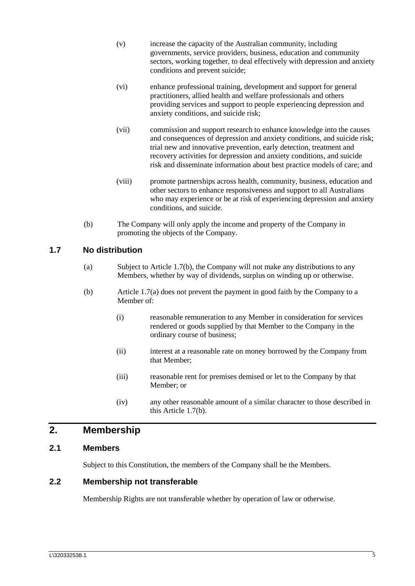- (v) increase the capacity of the Australian community, including governments, service providers, business, education and community sectors, working together, to deal effectively with depression and anxiety conditions and prevent suicide;
- (vi) enhance professional training, development and support for general practitioners, allied health and welfare professionals and others providing services and support to people experiencing depression and anxiety conditions, and suicide risk;
- (vii) commission and support research to enhance knowledge into the causes and consequences of depression and anxiety conditions, and suicide risk; trial new and innovative prevention, early detection, treatment and recovery activities for depression and anxiety conditions, and suicide risk and disseminate information about best practice models of care; and
- (viii) promote partnerships across health, community, business, education and other sectors to enhance responsiveness and support to all Australians who may experience or be at risk of experiencing depression and anxiety conditions, and suicide.
- (b) The Company will only apply the income and property of the Company in promoting the objects of the Company.

## <span id="page-9-5"></span><span id="page-9-0"></span>**1.7 No distribution**

- (a) Subject to Article [1.7\(b\),](#page-9-4) the Company will not make any distributions to any Members, whether by way of dividends, surplus on winding up or otherwise.
- <span id="page-9-4"></span>(b) Article [1.7\(a\)](#page-9-5) does not prevent the payment in good faith by the Company to a Member of:
	- (i) reasonable remuneration to any Member in consideration for services rendered or goods supplied by that Member to the Company in the ordinary course of business;
	- (ii) interest at a reasonable rate on money borrowed by the Company from that Member;
	- (iii) reasonable rent for premises demised or let to the Company by that Member; or
	- (iv) any other reasonable amount of a similar character to those described in this Article [1.7\(b\).](#page-9-4)

## <span id="page-9-1"></span>**2. Membership**

### <span id="page-9-2"></span>**2.1 Members**

Subject to this Constitution, the members of the Company shall be the Members.

#### <span id="page-9-3"></span>**2.2 Membership not transferable**

Membership Rights are not transferable whether by operation of law or otherwise.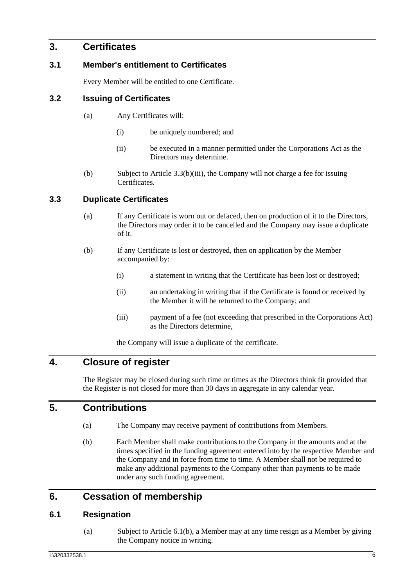## <span id="page-10-0"></span>**3. Certificates**

### <span id="page-10-1"></span>**3.1 Member's entitlement to Certificates**

Every Member will be entitled to one Certificate.

#### <span id="page-10-2"></span>**3.2 Issuing of Certificates**

- (a) Any Certificates will:
	- (i) be uniquely numbered; and
	- (ii) be executed in a manner permitted under the Corporations Act as the Directors may determine.
- (b) Subject to Article [3.3\(b\)\(iii\),](#page-10-8) the Company will not charge a fee for issuing Certificates.

#### <span id="page-10-3"></span>**3.3 Duplicate Certificates**

- (a) If any Certificate is worn out or defaced, then on production of it to the Directors, the Directors may order it to be cancelled and the Company may issue a duplicate of it.
- (b) If any Certificate is lost or destroyed, then on application by the Member accompanied by:
	- (i) a statement in writing that the Certificate has been lost or destroyed;
	- (ii) an undertaking in writing that if the Certificate is found or received by the Member it will be returned to the Company; and
	- (iii) payment of a fee (not exceeding that prescribed in the Corporations Act) as the Directors determine,

the Company will issue a duplicate of the certificate.

## <span id="page-10-8"></span><span id="page-10-4"></span>**4. Closure of register**

The Register may be closed during such time or times as the Directors think fit provided that the Register is not closed for more than 30 days in aggregate in any calendar year.

## <span id="page-10-5"></span>**5. Contributions**

- (a) The Company may receive payment of contributions from Members.
- (b) Each Member shall make contributions to the Company in the amounts and at the times specified in the funding agreement entered into by the respective Member and the Company and in force from time to time. A Member shall not be required to make any additional payments to the Company other than payments to be made under any such funding agreement.

## <span id="page-10-6"></span>**6. Cessation of membership**

### <span id="page-10-9"></span><span id="page-10-7"></span>**6.1 Resignation**

(a) Subject to Article [6.1\(b\),](#page-11-4) a Member may at any time resign as a Member by giving the Company notice in writing.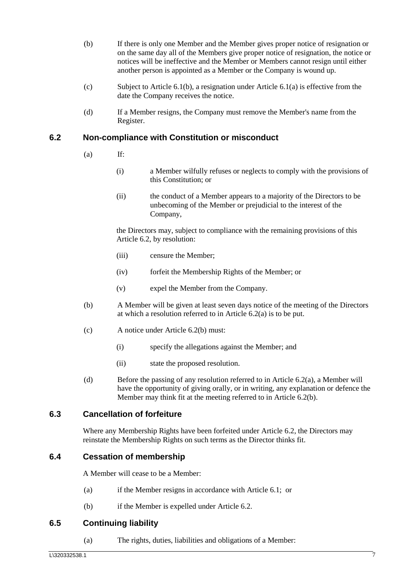- <span id="page-11-4"></span>(b) If there is only one Member and the Member gives proper notice of resignation or on the same day all of the Members give proper notice of resignation, the notice or notices will be ineffective and the Member or Members cannot resign until either another person is appointed as a Member or the Company is wound up.
- (c) Subject to Article [6.1\(b\),](#page-11-4) a resignation under Article [6.1\(a\)](#page-10-9) is effective from the date the Company receives the notice.
- (d) If a Member resigns, the Company must remove the Member's name from the Register.

#### <span id="page-11-5"></span><span id="page-11-0"></span>**6.2 Non-compliance with Constitution or misconduct**

- $(a)$  If:
	- (i) a Member wilfully refuses or neglects to comply with the provisions of this Constitution; or
	- (ii) the conduct of a Member appears to a majority of the Directors to be unbecoming of the Member or prejudicial to the interest of the Company,

the Directors may, subject to compliance with the remaining provisions of this Article [6.2,](#page-11-0) by resolution:

- (iii) censure the Member;
- (iv) forfeit the Membership Rights of the Member; or
- (v) expel the Member from the Company.
- <span id="page-11-6"></span>(b) A Member will be given at least seven days notice of the meeting of the Directors at which a resolution referred to in Article [6.2\(a\)](#page-11-5) is to be put.
- (c) A notice under Article [6.2\(b\)](#page-11-6) must:
	- (i) specify the allegations against the Member; and
	- (ii) state the proposed resolution.
- (d) Before the passing of any resolution referred to in Article [6.2\(a\),](#page-11-5) a Member will have the opportunity of giving orally, or in writing, any explanation or defence the Member may think fit at the meeting referred to in Article [6.2\(b\).](#page-11-6)

### <span id="page-11-1"></span>**6.3 Cancellation of forfeiture**

Where any Membership Rights have been forfeited under Article [6.2,](#page-11-0) the Directors may reinstate the Membership Rights on such terms as the Director thinks fit.

### <span id="page-11-2"></span>**6.4 Cessation of membership**

A Member will cease to be a Member:

- (a) if the Member resigns in accordance with Article [6.1;](#page-10-7) or
- (b) if the Member is expelled under Article [6.2.](#page-11-0)

### <span id="page-11-7"></span><span id="page-11-3"></span>**6.5 Continuing liability**

(a) The rights, duties, liabilities and obligations of a Member: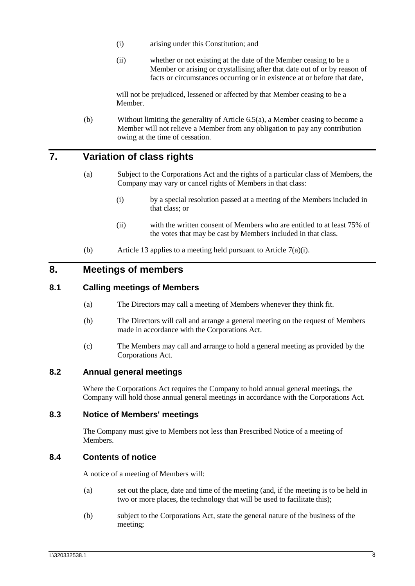- (i) arising under this Constitution; and
- (ii) whether or not existing at the date of the Member ceasing to be a Member or arising or crystallising after that date out of or by reason of facts or circumstances occurring or in existence at or before that date,

will not be prejudiced, lessened or affected by that Member ceasing to be a Member.

(b) Without limiting the generality of Article [6.5\(a\),](#page-11-7) a Member ceasing to become a Member will not relieve a Member from any obligation to pay any contribution owing at the time of cessation.

## <span id="page-12-6"></span><span id="page-12-0"></span>**7. Variation of class rights**

- (a) Subject to the Corporations Act and the rights of a particular class of Members, the Company may vary or cancel rights of Members in that class:
	- (i) by a special resolution passed at a meeting of the Members included in that class; or
	- (ii) with the written consent of Members who are entitled to at least 75% of the votes that may be cast by Members included in that class.
- (b) Article [13](#page-21-5) applies to a meeting held pursuant to Article [7\(a\)\(i\).](#page-12-6)

## <span id="page-12-1"></span>**8. Meetings of members**

#### <span id="page-12-7"></span><span id="page-12-2"></span>**8.1 Calling meetings of Members**

- (a) The Directors may call a meeting of Members whenever they think fit.
- (b) The Directors will call and arrange a general meeting on the request of Members made in accordance with the Corporations Act.
- (c) The Members may call and arrange to hold a general meeting as provided by the Corporations Act.

#### <span id="page-12-3"></span>**8.2 Annual general meetings**

Where the Corporations Act requires the Company to hold annual general meetings, the Company will hold those annual general meetings in accordance with the Corporations Act.

#### <span id="page-12-4"></span>**8.3 Notice of Members' meetings**

The Company must give to Members not less than Prescribed Notice of a meeting of **Members** 

### <span id="page-12-5"></span>**8.4 Contents of notice**

A notice of a meeting of Members will:

- (a) set out the place, date and time of the meeting (and, if the meeting is to be held in two or more places, the technology that will be used to facilitate this);
- (b) subject to the Corporations Act, state the general nature of the business of the meeting;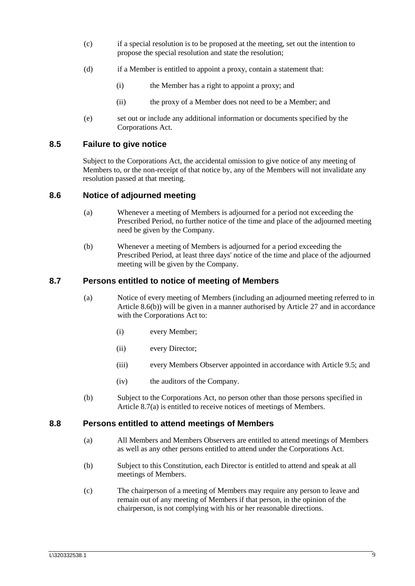- (c) if a special resolution is to be proposed at the meeting, set out the intention to propose the special resolution and state the resolution;
- (d) if a Member is entitled to appoint a proxy, contain a statement that:
	- (i) the Member has a right to appoint a proxy; and
	- (ii) the proxy of a Member does not need to be a Member; and
- (e) set out or include any additional information or documents specified by the Corporations Act.

#### <span id="page-13-0"></span>**8.5 Failure to give notice**

Subject to the Corporations Act, the accidental omission to give notice of any meeting of Members to, or the non-receipt of that notice by, any of the Members will not invalidate any resolution passed at that meeting.

#### <span id="page-13-1"></span>**8.6 Notice of adjourned meeting**

- (a) Whenever a meeting of Members is adjourned for a period not exceeding the Prescribed Period, no further notice of the time and place of the adjourned meeting need be given by the Company.
- (b) Whenever a meeting of Members is adjourned for a period exceeding the Prescribed Period, at least three days' notice of the time and place of the adjourned meeting will be given by the Company.

#### <span id="page-13-5"></span><span id="page-13-4"></span><span id="page-13-2"></span>**8.7 Persons entitled to notice of meeting of Members**

- (a) Notice of every meeting of Members (including an adjourned meeting referred to in Article [8.6\(b\)\)](#page-13-4) will be given in a manner authorised by Article [27](#page-37-3) and in accordance with the Corporations Act to:
	- (i) every Member;
	- (ii) every Director;
	- (iii) every Members Observer appointed in accordance with Article 9.5; and
	- (iv) the auditors of the Company.
- (b) Subject to the Corporations Act, no person other than those persons specified in Article [8.7\(a\)](#page-13-5) is entitled to receive notices of meetings of Members.

#### <span id="page-13-6"></span><span id="page-13-3"></span>**8.8 Persons entitled to attend meetings of Members**

- (a) All Members and Members Observers are entitled to attend meetings of Members as well as any other persons entitled to attend under the Corporations Act.
- (b) Subject to this Constitution, each Director is entitled to attend and speak at all meetings of Members.
- (c) The chairperson of a meeting of Members may require any person to leave and remain out of any meeting of Members if that person, in the opinion of the chairperson, is not complying with his or her reasonable directions.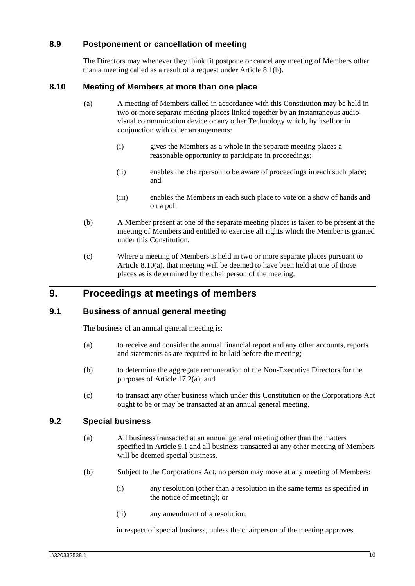### <span id="page-14-0"></span>**8.9 Postponement or cancellation of meeting**

The Directors may whenever they think fit postpone or cancel any meeting of Members other than a meeting called as a result of a request under Article [8.1\(b\).](#page-12-7)

#### <span id="page-14-5"></span><span id="page-14-1"></span>**8.10 Meeting of Members at more than one place**

- (a) A meeting of Members called in accordance with this Constitution may be held in two or more separate meeting places linked together by an instantaneous audiovisual communication device or any other Technology which, by itself or in conjunction with other arrangements:
	- (i) gives the Members as a whole in the separate meeting places a reasonable opportunity to participate in proceedings;
	- (ii) enables the chairperson to be aware of proceedings in each such place; and
	- (iii) enables the Members in each such place to vote on a show of hands and on a poll.
- (b) A Member present at one of the separate meeting places is taken to be present at the meeting of Members and entitled to exercise all rights which the Member is granted under this Constitution.
- (c) Where a meeting of Members is held in two or more separate places pursuant to Article [8.10\(a\),](#page-14-5) that meeting will be deemed to have been held at one of those places as is determined by the chairperson of the meeting.

## <span id="page-14-2"></span>**9. Proceedings at meetings of members**

#### <span id="page-14-3"></span>**9.1 Business of annual general meeting**

The business of an annual general meeting is:

- (a) to receive and consider the annual financial report and any other accounts, reports and statements as are required to be laid before the meeting;
- (b) to determine the aggregate remuneration of the Non-Executive Directors for the purposes of Article [17.2\(a\);](#page-26-4) and
- (c) to transact any other business which under this Constitution or the Corporations Act ought to be or may be transacted at an annual general meeting.

#### <span id="page-14-4"></span>**9.2 Special business**

- (a) All business transacted at an annual general meeting other than the matters specified in Article [9.1](#page-14-3) and all business transacted at any other meeting of Members will be deemed special business.
- (b) Subject to the Corporations Act, no person may move at any meeting of Members:
	- (i) any resolution (other than a resolution in the same terms as specified in the notice of meeting); or
	- (ii) any amendment of a resolution,

in respect of special business, unless the chairperson of the meeting approves.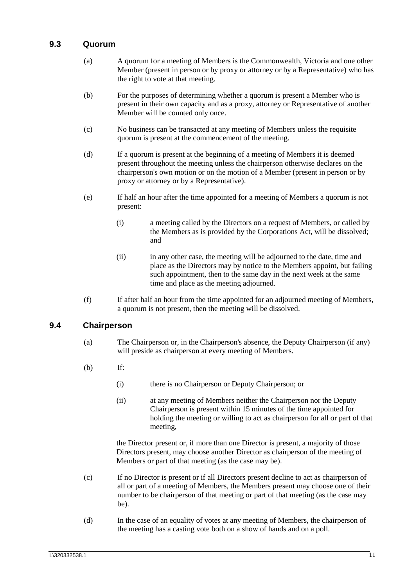#### <span id="page-15-0"></span>**9.3 Quorum**

- (a) A quorum for a meeting of Members is the Commonwealth, Victoria and one other Member (present in person or by proxy or attorney or by a Representative) who has the right to vote at that meeting.
- (b) For the purposes of determining whether a quorum is present a Member who is present in their own capacity and as a proxy, attorney or Representative of another Member will be counted only once.
- (c) No business can be transacted at any meeting of Members unless the requisite quorum is present at the commencement of the meeting.
- (d) If a quorum is present at the beginning of a meeting of Members it is deemed present throughout the meeting unless the chairperson otherwise declares on the chairperson's own motion or on the motion of a Member (present in person or by proxy or attorney or by a Representative).
- (e) If half an hour after the time appointed for a meeting of Members a quorum is not present:
	- (i) a meeting called by the Directors on a request of Members, or called by the Members as is provided by the Corporations Act, will be dissolved; and
	- (ii) in any other case, the meeting will be adjourned to the date, time and place as the Directors may by notice to the Members appoint, but failing such appointment, then to the same day in the next week at the same time and place as the meeting adjourned.
- (f) If after half an hour from the time appointed for an adjourned meeting of Members, a quorum is not present, then the meeting will be dissolved.

#### <span id="page-15-1"></span>**9.4 Chairperson**

- (a) The Chairperson or, in the Chairperson's absence, the Deputy Chairperson (if any) will preside as chairperson at every meeting of Members.
- (b) If:
	- (i) there is no Chairperson or Deputy Chairperson; or
	- (ii) at any meeting of Members neither the Chairperson nor the Deputy Chairperson is present within 15 minutes of the time appointed for holding the meeting or willing to act as chairperson for all or part of that meeting,

the Director present or, if more than one Director is present, a majority of those Directors present, may choose another Director as chairperson of the meeting of Members or part of that meeting (as the case may be).

- (c) If no Director is present or if all Directors present decline to act as chairperson of all or part of a meeting of Members, the Members present may choose one of their number to be chairperson of that meeting or part of that meeting (as the case may be).
- (d) In the case of an equality of votes at any meeting of Members, the chairperson of the meeting has a casting vote both on a show of hands and on a poll.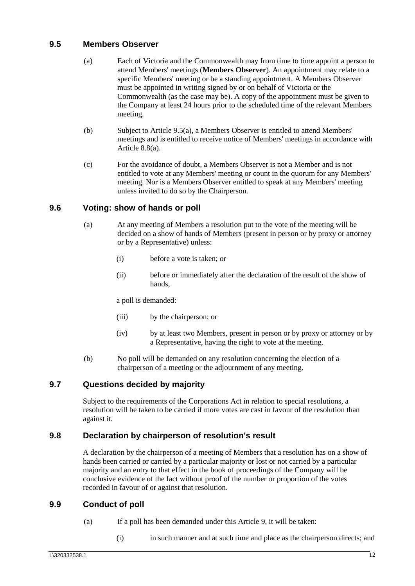### <span id="page-16-5"></span><span id="page-16-0"></span>**9.5 Members Observer**

- (a) Each of Victoria and the Commonwealth may from time to time appoint a person to attend Members' meetings (**Members Observer**). An appointment may relate to a specific Members' meeting or be a standing appointment. A Members Observer must be appointed in writing signed by or on behalf of Victoria or the Commonwealth (as the case may be). A copy of the appointment must be given to the Company at least 24 hours prior to the scheduled time of the relevant Members meeting.
- (b) Subject to Article [9.5\(a\),](#page-16-5) a Members Observer is entitled to attend Members' meetings and is entitled to receive notice of Members' meetings in accordance with Article [8.8\(a\).](#page-13-6)
- (c) For the avoidance of doubt, a Members Observer is not a Member and is not entitled to vote at any Members' meeting or count in the quorum for any Members' meeting. Nor is a Members Observer entitled to speak at any Members' meeting unless invited to do so by the Chairperson.

## <span id="page-16-1"></span>**9.6 Voting: show of hands or poll**

- (a) At any meeting of Members a resolution put to the vote of the meeting will be decided on a show of hands of Members (present in person or by proxy or attorney or by a Representative) unless:
	- (i) before a vote is taken; or
	- (ii) before or immediately after the declaration of the result of the show of hands,

a poll is demanded:

- (iii) by the chairperson; or
- (iv) by at least two Members, present in person or by proxy or attorney or by a Representative, having the right to vote at the meeting.
- (b) No poll will be demanded on any resolution concerning the election of a chairperson of a meeting or the adjournment of any meeting.

### <span id="page-16-2"></span>**9.7 Questions decided by majority**

Subject to the requirements of the Corporations Act in relation to special resolutions, a resolution will be taken to be carried if more votes are cast in favour of the resolution than against it.

### <span id="page-16-3"></span>**9.8 Declaration by chairperson of resolution's result**

A declaration by the chairperson of a meeting of Members that a resolution has on a show of hands been carried or carried by a particular majority or lost or not carried by a particular majority and an entry to that effect in the book of proceedings of the Company will be conclusive evidence of the fact without proof of the number or proportion of the votes recorded in favour of or against that resolution.

### <span id="page-16-4"></span>**9.9 Conduct of poll**

- (a) If a poll has been demanded under this Article [9,](#page-14-2) it will be taken:
	- (i) in such manner and at such time and place as the chairperson directs; and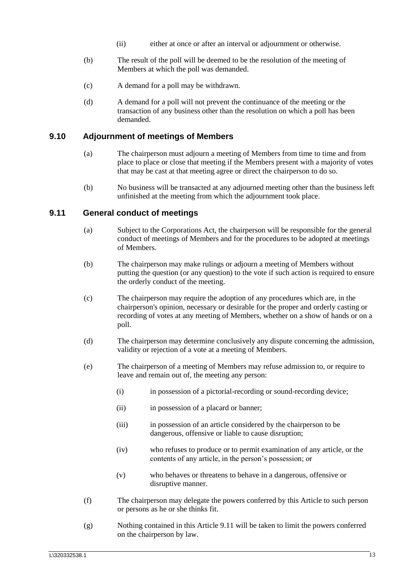- (ii) either at once or after an interval or adjournment or otherwise.
- (b) The result of the poll will be deemed to be the resolution of the meeting of Members at which the poll was demanded.
- (c) A demand for a poll may be withdrawn.
- (d) A demand for a poll will not prevent the continuance of the meeting or the transaction of any business other than the resolution on which a poll has been demanded.

#### <span id="page-17-0"></span>**9.10 Adjournment of meetings of Members**

- (a) The chairperson must adjourn a meeting of Members from time to time and from place to place or close that meeting if the Members present with a majority of votes that may be cast at that meeting agree or direct the chairperson to do so.
- (b) No business will be transacted at any adjourned meeting other than the business left unfinished at the meeting from which the adjournment took place.

#### <span id="page-17-1"></span>**9.11 General conduct of meetings**

- (a) Subject to the Corporations Act, the chairperson will be responsible for the general conduct of meetings of Members and for the procedures to be adopted at meetings of Members.
- (b) The chairperson may make rulings or adjourn a meeting of Members without putting the question (or any question) to the vote if such action is required to ensure the orderly conduct of the meeting.
- (c) The chairperson may require the adoption of any procedures which are, in the chairperson's opinion, necessary or desirable for the proper and orderly casting or recording of votes at any meeting of Members, whether on a show of hands or on a poll.
- (d) The chairperson may determine conclusively any dispute concerning the admission, validity or rejection of a vote at a meeting of Members.
- (e) The chairperson of a meeting of Members may refuse admission to, or require to leave and remain out of, the meeting any person:
	- (i) in possession of a pictorial-recording or sound-recording device;
	- (ii) in possession of a placard or banner;
	- (iii) in possession of an article considered by the chairperson to be dangerous, offensive or liable to cause disruption;
	- (iv) who refuses to produce or to permit examination of any article, or the contents of any article, in the person's possession; or
	- (v) who behaves or threatens to behave in a dangerous, offensive or disruptive manner.
- (f) The chairperson may delegate the powers conferred by this Article to such person or persons as he or she thinks fit.
- (g) Nothing contained in this Article [9.11](#page-17-1) will be taken to limit the powers conferred on the chairperson by law.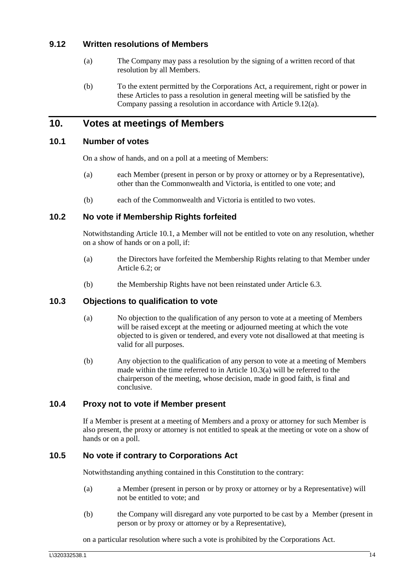### <span id="page-18-7"></span><span id="page-18-0"></span>**9.12 Written resolutions of Members**

- (a) The Company may pass a resolution by the signing of a written record of that resolution by all Members.
- (b) To the extent permitted by the Corporations Act, a requirement, right or power in these Articles to pass a resolution in general meeting will be satisfied by the Company passing a resolution in accordance with Article [9.12\(a\).](#page-18-7)

## <span id="page-18-1"></span>**10. Votes at meetings of Members**

## <span id="page-18-2"></span>**10.1 Number of votes**

On a show of hands, and on a poll at a meeting of Members:

- (a) each Member (present in person or by proxy or attorney or by a Representative), other than the Commonwealth and Victoria, is entitled to one vote; and
- (b) each of the Commonwealth and Victoria is entitled to two votes.

#### <span id="page-18-3"></span>**10.2 No vote if Membership Rights forfeited**

Notwithstanding Article [10.1,](#page-18-2) a Member will not be entitled to vote on any resolution, whether on a show of hands or on a poll, if:

- (a) the Directors have forfeited the Membership Rights relating to that Member under Article [6.2;](#page-11-0) or
- (b) the Membership Rights have not been reinstated under Article [6.3.](#page-11-1)

### <span id="page-18-8"></span><span id="page-18-4"></span>**10.3 Objections to qualification to vote**

- (a) No objection to the qualification of any person to vote at a meeting of Members will be raised except at the meeting or adjourned meeting at which the vote objected to is given or tendered, and every vote not disallowed at that meeting is valid for all purposes.
- (b) Any objection to the qualification of any person to vote at a meeting of Members made within the time referred to in Article [10.3\(a\)](#page-18-8) will be referred to the chairperson of the meeting, whose decision, made in good faith, is final and conclusive.

### <span id="page-18-5"></span>**10.4 Proxy not to vote if Member present**

If a Member is present at a meeting of Members and a proxy or attorney for such Member is also present, the proxy or attorney is not entitled to speak at the meeting or vote on a show of hands or on a poll.

### <span id="page-18-6"></span>**10.5 No vote if contrary to Corporations Act**

Notwithstanding anything contained in this Constitution to the contrary:

- (a) a Member (present in person or by proxy or attorney or by a Representative) will not be entitled to vote; and
- (b) the Company will disregard any vote purported to be cast by a Member (present in person or by proxy or attorney or by a Representative),

on a particular resolution where such a vote is prohibited by the Corporations Act.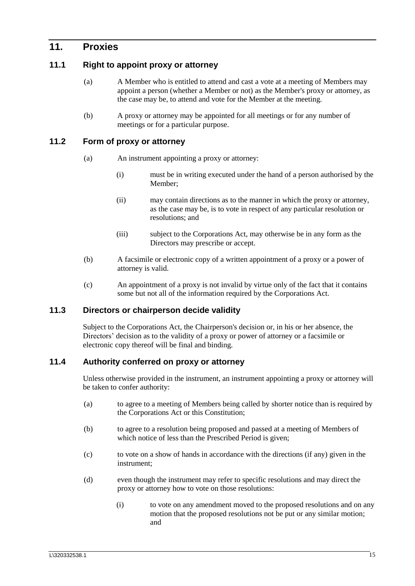## <span id="page-19-0"></span>**11. Proxies**

### <span id="page-19-1"></span>**11.1 Right to appoint proxy or attorney**

- (a) A Member who is entitled to attend and cast a vote at a meeting of Members may appoint a person (whether a Member or not) as the Member's proxy or attorney, as the case may be, to attend and vote for the Member at the meeting.
- (b) A proxy or attorney may be appointed for all meetings or for any number of meetings or for a particular purpose.

#### <span id="page-19-2"></span>**11.2 Form of proxy or attorney**

- (a) An instrument appointing a proxy or attorney:
	- (i) must be in writing executed under the hand of a person authorised by the Member;
	- (ii) may contain directions as to the manner in which the proxy or attorney, as the case may be, is to vote in respect of any particular resolution or resolutions; and
	- (iii) subject to the Corporations Act, may otherwise be in any form as the Directors may prescribe or accept.
- (b) A facsimile or electronic copy of a written appointment of a proxy or a power of attorney is valid.
- (c) An appointment of a proxy is not invalid by virtue only of the fact that it contains some but not all of the information required by the Corporations Act.

### <span id="page-19-3"></span>**11.3 Directors or chairperson decide validity**

Subject to the Corporations Act, the Chairperson's decision or, in his or her absence, the Directors' decision as to the validity of a proxy or power of attorney or a facsimile or electronic copy thereof will be final and binding.

### <span id="page-19-4"></span>**11.4 Authority conferred on proxy or attorney**

Unless otherwise provided in the instrument, an instrument appointing a proxy or attorney will be taken to confer authority:

- (a) to agree to a meeting of Members being called by shorter notice than is required by the Corporations Act or this Constitution;
- (b) to agree to a resolution being proposed and passed at a meeting of Members of which notice of less than the Prescribed Period is given;
- (c) to vote on a show of hands in accordance with the directions (if any) given in the instrument;
- (d) even though the instrument may refer to specific resolutions and may direct the proxy or attorney how to vote on those resolutions:
	- (i) to vote on any amendment moved to the proposed resolutions and on any motion that the proposed resolutions not be put or any similar motion; and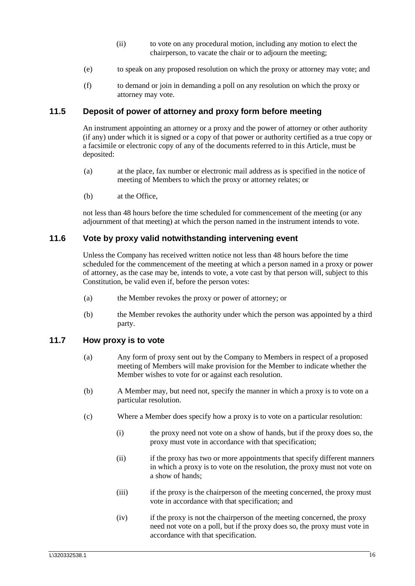- (ii) to vote on any procedural motion, including any motion to elect the chairperson, to vacate the chair or to adjourn the meeting;
- (e) to speak on any proposed resolution on which the proxy or attorney may vote; and
- (f) to demand or join in demanding a poll on any resolution on which the proxy or attorney may vote.

### <span id="page-20-0"></span>**11.5 Deposit of power of attorney and proxy form before meeting**

An instrument appointing an attorney or a proxy and the power of attorney or other authority (if any) under which it is signed or a copy of that power or authority certified as a true copy or a facsimile or electronic copy of any of the documents referred to in this Article, must be deposited:

- (a) at the place, fax number or electronic mail address as is specified in the notice of meeting of Members to which the proxy or attorney relates; or
- (b) at the Office,

not less than 48 hours before the time scheduled for commencement of the meeting (or any adjournment of that meeting) at which the person named in the instrument intends to vote.

#### <span id="page-20-1"></span>**11.6 Vote by proxy valid notwithstanding intervening event**

Unless the Company has received written notice not less than 48 hours before the time scheduled for the commencement of the meeting at which a person named in a proxy or power of attorney, as the case may be, intends to vote, a vote cast by that person will, subject to this Constitution, be valid even if, before the person votes:

- (a) the Member revokes the proxy or power of attorney; or
- (b) the Member revokes the authority under which the person was appointed by a third party.

#### <span id="page-20-2"></span>**11.7 How proxy is to vote**

- (a) Any form of proxy sent out by the Company to Members in respect of a proposed meeting of Members will make provision for the Member to indicate whether the Member wishes to vote for or against each resolution.
- (b) A Member may, but need not, specify the manner in which a proxy is to vote on a particular resolution.
- (c) Where a Member does specify how a proxy is to vote on a particular resolution:
	- (i) the proxy need not vote on a show of hands, but if the proxy does so, the proxy must vote in accordance with that specification;
	- (ii) if the proxy has two or more appointments that specify different manners in which a proxy is to vote on the resolution, the proxy must not vote on a show of hands;
	- (iii) if the proxy is the chairperson of the meeting concerned, the proxy must vote in accordance with that specification; and
	- (iv) if the proxy is not the chairperson of the meeting concerned, the proxy need not vote on a poll, but if the proxy does so, the proxy must vote in accordance with that specification.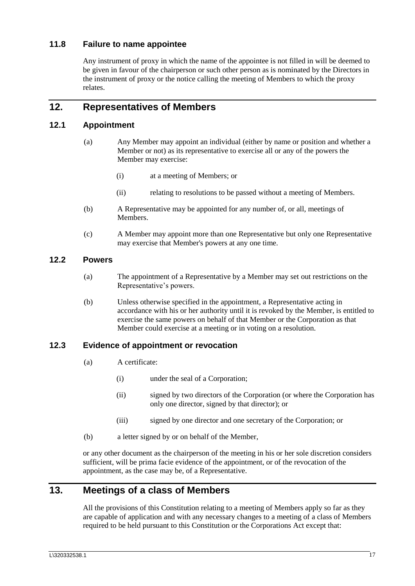## <span id="page-21-0"></span>**11.8 Failure to name appointee**

Any instrument of proxy in which the name of the appointee is not filled in will be deemed to be given in favour of the chairperson or such other person as is nominated by the Directors in the instrument of proxy or the notice calling the meeting of Members to which the proxy relates.

## <span id="page-21-1"></span>**12. Representatives of Members**

## <span id="page-21-2"></span>**12.1 Appointment**

- (a) Any Member may appoint an individual (either by name or position and whether a Member or not) as its representative to exercise all or any of the powers the Member may exercise:
	- (i) at a meeting of Members; or
	- (ii) relating to resolutions to be passed without a meeting of Members.
- (b) A Representative may be appointed for any number of, or all, meetings of **Members**
- (c) A Member may appoint more than one Representative but only one Representative may exercise that Member's powers at any one time.

### <span id="page-21-3"></span>**12.2 Powers**

- (a) The appointment of a Representative by a Member may set out restrictions on the Representative's powers.
- (b) Unless otherwise specified in the appointment, a Representative acting in accordance with his or her authority until it is revoked by the Member, is entitled to exercise the same powers on behalf of that Member or the Corporation as that Member could exercise at a meeting or in voting on a resolution.

#### <span id="page-21-4"></span>**12.3 Evidence of appointment or revocation**

- (a) A certificate:
	- (i) under the seal of a Corporation;
	- (ii) signed by two directors of the Corporation (or where the Corporation has only one director, signed by that director); or
	- (iii) signed by one director and one secretary of the Corporation; or
- (b) a letter signed by or on behalf of the Member,

or any other document as the chairperson of the meeting in his or her sole discretion considers sufficient, will be prima facie evidence of the appointment, or of the revocation of the appointment, as the case may be, of a Representative.

## <span id="page-21-5"></span>**13. Meetings of a class of Members**

All the provisions of this Constitution relating to a meeting of Members apply so far as they are capable of application and with any necessary changes to a meeting of a class of Members required to be held pursuant to this Constitution or the Corporations Act except that: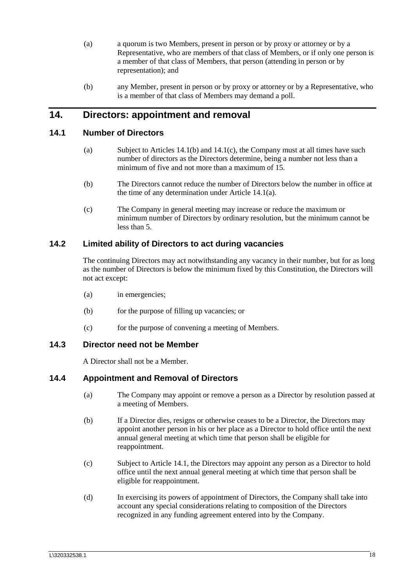- (a) a quorum is two Members, present in person or by proxy or attorney or by a Representative, who are members of that class of Members, or if only one person is a member of that class of Members, that person (attending in person or by representation); and
- (b) any Member, present in person or by proxy or attorney or by a Representative, who is a member of that class of Members may demand a poll.

## <span id="page-22-0"></span>**14. Directors: appointment and removal**

### <span id="page-22-7"></span><span id="page-22-1"></span>**14.1 Number of Directors**

- (a) Subject to Articles [14.1\(b\)](#page-22-5) and [14.1\(c\),](#page-22-6) the Company must at all times have such number of directors as the Directors determine, being a number not less than a minimum of five and not more than a maximum of 15.
- <span id="page-22-5"></span>(b) The Directors cannot reduce the number of Directors below the number in office at the time of any determination under Article [14.1\(a\).](#page-22-7)
- (c) The Company in general meeting may increase or reduce the maximum or minimum number of Directors by ordinary resolution, but the minimum cannot be less than 5.

### <span id="page-22-6"></span><span id="page-22-2"></span>**14.2 Limited ability of Directors to act during vacancies**

The continuing Directors may act notwithstanding any vacancy in their number, but for as long as the number of Directors is below the minimum fixed by this Constitution, the Directors will not act except:

- (a) in emergencies;
- (b) for the purpose of filling up vacancies; or
- (c) for the purpose of convening a meeting of Members.

#### <span id="page-22-3"></span>**14.3 Director need not be Member**

A Director shall not be a Member.

### <span id="page-22-8"></span><span id="page-22-4"></span>**14.4 Appointment and Removal of Directors**

- (a) The Company may appoint or remove a person as a Director by resolution passed at a meeting of Members.
- <span id="page-22-9"></span>(b) If a Director dies, resigns or otherwise ceases to be a Director, the Directors may appoint another person in his or her place as a Director to hold office until the next annual general meeting at which time that person shall be eligible for reappointment.
- <span id="page-22-10"></span>(c) Subject to Article [14.1,](#page-22-1) the Directors may appoint any person as a Director to hold office until the next annual general meeting at which time that person shall be eligible for reappointment.
- (d) In exercising its powers of appointment of Directors, the Company shall take into account any special considerations relating to composition of the Directors recognized in any funding agreement entered into by the Company.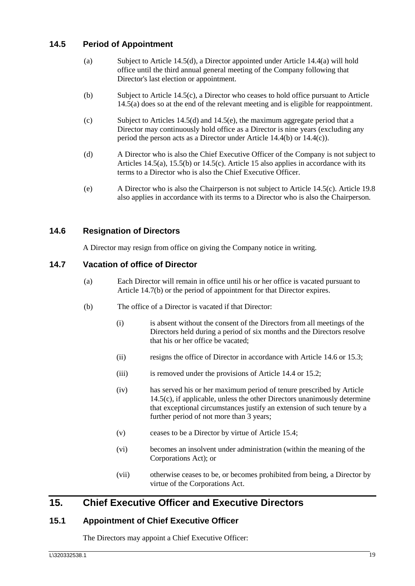## <span id="page-23-7"></span><span id="page-23-0"></span>**14.5 Period of Appointment**

- (a) Subject to Article [14.5\(d\),](#page-23-5) a Director appointed under Article [14.4\(a\)](#page-22-8) will hold office until the third annual general meeting of the Company following that Director's last election or appointment.
- (b) Subject to Article [14.5\(c\),](#page-23-6) a Director who ceases to hold office pursuant to Article [14.5\(a\)](#page-23-7) does so at the end of the relevant meeting and is eligible for reappointment.
- <span id="page-23-6"></span>(c) Subject to Articles [14.5\(d\)](#page-23-5) and [14.5\(e\),](#page-23-8) the maximum aggregate period that a Director may continuously hold office as a Director is nine years (excluding any period the person acts as a Director under Article [14.4\(b\)](#page-22-9) or [14.4\(c\)\)](#page-22-10).
- <span id="page-23-5"></span>(d) A Director who is also the Chief Executive Officer of the Company is not subject to Articles [14.5\(a\),](#page-23-7) [15.5\(b\)](#page-24-4) or [14.5\(c\).](#page-23-6) Article [15](#page-23-3) also applies in accordance with its terms to a Director who is also the Chief Executive Officer.
- <span id="page-23-8"></span>(e) A Director who is also the Chairperson is not subject to Article [14.5\(c\).](#page-23-6) Article [19.8](#page-31-2) also applies in accordance with its terms to a Director who is also the Chairperson.

## <span id="page-23-1"></span>**14.6 Resignation of Directors**

A Director may resign from office on giving the Company notice in writing.

### <span id="page-23-2"></span>**14.7 Vacation of office of Director**

- (a) Each Director will remain in office until his or her office is vacated pursuant to Article [14.7\(b\)](#page-23-9) or the period of appointment for that Director expires.
- <span id="page-23-9"></span>(b) The office of a Director is vacated if that Director:
	- (i) is absent without the consent of the Directors from all meetings of the Directors held during a period of six months and the Directors resolve that his or her office be vacated;
	- (ii) resigns the office of Director in accordance with Article [14.6](#page-23-1) or [15.3;](#page-24-1)
	- (iii) is removed under the provisions of Article [14.4](#page-22-4) or [15.2;](#page-24-0)
	- (iv) has served his or her maximum period of tenure prescribed by Article [14.5\(c\),](#page-23-6) if applicable, unless the other Directors unanimously determine that exceptional circumstances justify an extension of such tenure by a further period of not more than 3 years;
	- (v) ceases to be a Director by virtue of Article [15.4;](#page-24-2)
	- (vi) becomes an insolvent under administration (within the meaning of the Corporations Act); or
	- (vii) otherwise ceases to be, or becomes prohibited from being, a Director by virtue of the Corporations Act.

## <span id="page-23-3"></span>**15. Chief Executive Officer and Executive Directors**

## <span id="page-23-4"></span>**15.1 Appointment of Chief Executive Officer**

The Directors may appoint a Chief Executive Officer: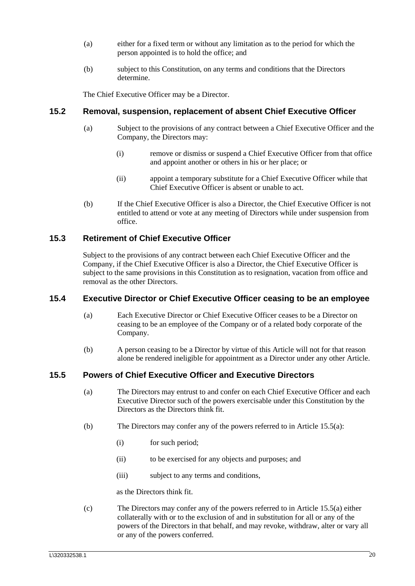- (a) either for a fixed term or without any limitation as to the period for which the person appointed is to hold the office; and
- (b) subject to this Constitution, on any terms and conditions that the Directors determine.

The Chief Executive Officer may be a Director.

#### <span id="page-24-0"></span>**15.2 Removal, suspension, replacement of absent Chief Executive Officer**

- (a) Subject to the provisions of any contract between a Chief Executive Officer and the Company, the Directors may:
	- (i) remove or dismiss or suspend a Chief Executive Officer from that office and appoint another or others in his or her place; or
	- (ii) appoint a temporary substitute for a Chief Executive Officer while that Chief Executive Officer is absent or unable to act.
- (b) If the Chief Executive Officer is also a Director, the Chief Executive Officer is not entitled to attend or vote at any meeting of Directors while under suspension from office.

### <span id="page-24-1"></span>**15.3 Retirement of Chief Executive Officer**

Subject to the provisions of any contract between each Chief Executive Officer and the Company, if the Chief Executive Officer is also a Director, the Chief Executive Officer is subject to the same provisions in this Constitution as to resignation, vacation from office and removal as the other Directors.

#### <span id="page-24-2"></span>**15.4 Executive Director or Chief Executive Officer ceasing to be an employee**

- (a) Each Executive Director or Chief Executive Officer ceases to be a Director on ceasing to be an employee of the Company or of a related body corporate of the Company.
- (b) A person ceasing to be a Director by virtue of this Article will not for that reason alone be rendered ineligible for appointment as a Director under any other Article.

### <span id="page-24-5"></span><span id="page-24-3"></span>**15.5 Powers of Chief Executive Officer and Executive Directors**

- (a) The Directors may entrust to and confer on each Chief Executive Officer and each Executive Director such of the powers exercisable under this Constitution by the Directors as the Directors think fit.
- <span id="page-24-4"></span>(b) The Directors may confer any of the powers referred to in Article [15.5\(a\):](#page-24-5)
	- (i) for such period;
	- (ii) to be exercised for any objects and purposes; and
	- (iii) subject to any terms and conditions,

as the Directors think fit.

(c) The Directors may confer any of the powers referred to in Article [15.5\(a\)](#page-24-5) either collaterally with or to the exclusion of and in substitution for all or any of the powers of the Directors in that behalf, and may revoke, withdraw, alter or vary all or any of the powers conferred.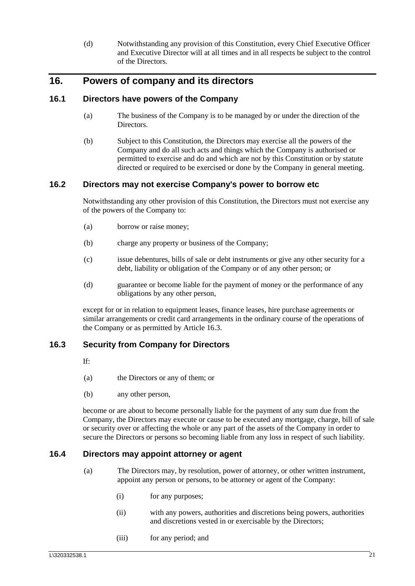(d) Notwithstanding any provision of this Constitution, every Chief Executive Officer and Executive Director will at all times and in all respects be subject to the control of the Directors.

## <span id="page-25-0"></span>**16. Powers of company and its directors**

### <span id="page-25-1"></span>**16.1 Directors have powers of the Company**

- (a) The business of the Company is to be managed by or under the direction of the Directors.
- (b) Subject to this Constitution, the Directors may exercise all the powers of the Company and do all such acts and things which the Company is authorised or permitted to exercise and do and which are not by this Constitution or by statute directed or required to be exercised or done by the Company in general meeting.

#### <span id="page-25-2"></span>**16.2 Directors may not exercise Company's power to borrow etc**

Notwithstanding any other provision of this Constitution, the Directors must not exercise any of the powers of the Company to:

- (a) borrow or raise money;
- (b) charge any property or business of the Company;
- (c) issue debentures, bills of sale or debt instruments or give any other security for a debt, liability or obligation of the Company or of any other person; or
- (d) guarantee or become liable for the payment of money or the performance of any obligations by any other person,

except for or in relation to equipment leases, finance leases, hire purchase agreements or similar arrangements or credit card arrangements in the ordinary course of the operations of the Company or as permitted by Article [16.3.](#page-25-3)

### <span id="page-25-3"></span>**16.3 Security from Company for Directors**

If:

- (a) the Directors or any of them; or
- (b) any other person,

become or are about to become personally liable for the payment of any sum due from the Company, the Directors may execute or cause to be executed any mortgage, charge, bill of sale or security over or affecting the whole or any part of the assets of the Company in order to secure the Directors or persons so becoming liable from any loss in respect of such liability.

#### <span id="page-25-5"></span><span id="page-25-4"></span>**16.4 Directors may appoint attorney or agent**

- (a) The Directors may, by resolution, power of attorney, or other written instrument, appoint any person or persons, to be attorney or agent of the Company:
	- (i) for any purposes;
	- (ii) with any powers, authorities and discretions being powers, authorities and discretions vested in or exercisable by the Directors;
	- (iii) for any period; and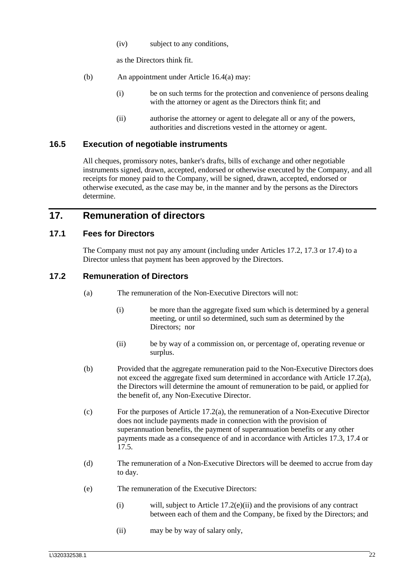(iv) subject to any conditions,

as the Directors think fit.

- (b) An appointment under Article [16.4\(a\)](#page-25-5) may:
	- (i) be on such terms for the protection and convenience of persons dealing with the attorney or agent as the Directors think fit; and
	- (ii) authorise the attorney or agent to delegate all or any of the powers, authorities and discretions vested in the attorney or agent.

#### <span id="page-26-0"></span>**16.5 Execution of negotiable instruments**

All cheques, promissory notes, banker's drafts, bills of exchange and other negotiable instruments signed, drawn, accepted, endorsed or otherwise executed by the Company, and all receipts for money paid to the Company, will be signed, drawn, accepted, endorsed or otherwise executed, as the case may be, in the manner and by the persons as the Directors determine.

## <span id="page-26-1"></span>**17. Remuneration of directors**

#### <span id="page-26-2"></span>**17.1 Fees for Directors**

The Company must not pay any amount (including under Articles [17.2,](#page-26-3) [17.3](#page-27-0) or [17.4\)](#page-27-1) to a Director unless that payment has been approved by the Directors.

#### <span id="page-26-4"></span><span id="page-26-3"></span>**17.2 Remuneration of Directors**

- (a) The remuneration of the Non-Executive Directors will not:
	- (i) be more than the aggregate fixed sum which is determined by a general meeting, or until so determined, such sum as determined by the Directors; nor
	- (ii) be by way of a commission on, or percentage of, operating revenue or surplus.
- (b) Provided that the aggregate remuneration paid to the Non-Executive Directors does not exceed the aggregate fixed sum determined in accordance with Article [17.2\(a\),](#page-26-4) the Directors will determine the amount of remuneration to be paid, or applied for the benefit of, any Non-Executive Director.
- (c) For the purposes of Article [17.2\(a\),](#page-26-4) the remuneration of a Non-Executive Director does not include payments made in connection with the provision of superannuation benefits, the payment of superannuation benefits or any other payments made as a consequence of and in accordance with Articles [17.3,](#page-27-0) [17.4](#page-27-1) or [17.5.](#page-27-2)
- (d) The remuneration of a Non-Executive Directors will be deemed to accrue from day to day.
- <span id="page-26-5"></span>(e) The remuneration of the Executive Directors:
	- (i) will, subject to Article [17.2\(e\)\(ii\)](#page-26-5) and the provisions of any contract between each of them and the Company, be fixed by the Directors; and
	- (ii) may be by way of salary only,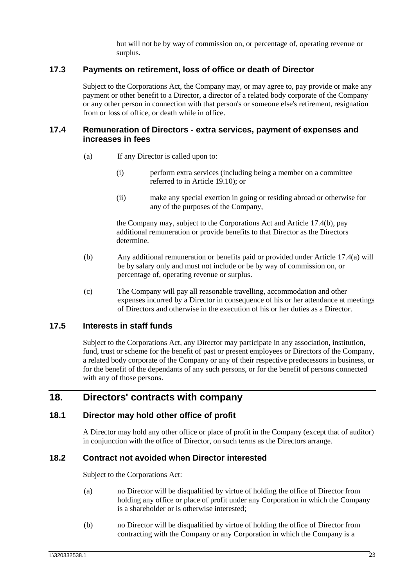but will not be by way of commission on, or percentage of, operating revenue or surplus.

### <span id="page-27-0"></span>**17.3 Payments on retirement, loss of office or death of Director**

Subject to the Corporations Act, the Company may, or may agree to, pay provide or make any payment or other benefit to a Director, a director of a related body corporate of the Company or any other person in connection with that person's or someone else's retirement, resignation from or loss of office, or death while in office.

#### <span id="page-27-7"></span><span id="page-27-1"></span>**17.4 Remuneration of Directors - extra services, payment of expenses and increases in fees**

- (a) If any Director is called upon to:
	- (i) perform extra services (including being a member on a committee referred to in Article [19.10\)](#page-32-1); or
	- (ii) make any special exertion in going or residing abroad or otherwise for any of the purposes of the Company,

the Company may, subject to the Corporations Act and Article [17.4\(b\),](#page-27-6) pay additional remuneration or provide benefits to that Director as the Directors determine.

- <span id="page-27-6"></span>(b) Any additional remuneration or benefits paid or provided under Article [17.4\(a\)](#page-27-7) will be by salary only and must not include or be by way of commission on, or percentage of, operating revenue or surplus.
- (c) The Company will pay all reasonable travelling, accommodation and other expenses incurred by a Director in consequence of his or her attendance at meetings of Directors and otherwise in the execution of his or her duties as a Director.

## <span id="page-27-2"></span>**17.5 Interests in staff funds**

Subject to the Corporations Act, any Director may participate in any association, institution, fund, trust or scheme for the benefit of past or present employees or Directors of the Company, a related body corporate of the Company or any of their respective predecessors in business, or for the benefit of the dependants of any such persons, or for the benefit of persons connected with any of those persons.

## <span id="page-27-3"></span>**18. Directors' contracts with company**

#### <span id="page-27-4"></span>**18.1 Director may hold other office of profit**

A Director may hold any other office or place of profit in the Company (except that of auditor) in conjunction with the office of Director, on such terms as the Directors arrange.

#### <span id="page-27-5"></span>**18.2 Contract not avoided when Director interested**

Subject to the Corporations Act:

- (a) no Director will be disqualified by virtue of holding the office of Director from holding any office or place of profit under any Corporation in which the Company is a shareholder or is otherwise interested;
- (b) no Director will be disqualified by virtue of holding the office of Director from contracting with the Company or any Corporation in which the Company is a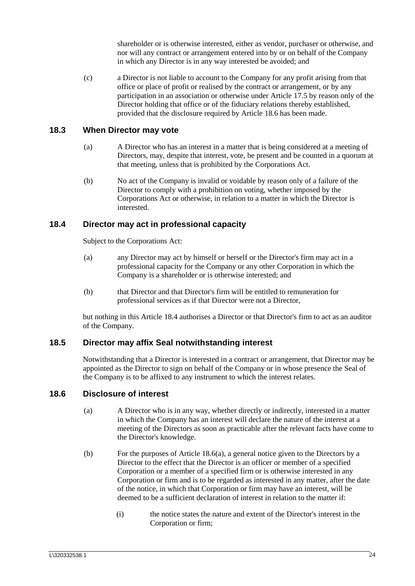shareholder or is otherwise interested, either as vendor, purchaser or otherwise, and nor will any contract or arrangement entered into by or on behalf of the Company in which any Director is in any way interested be avoided; and

(c) a Director is not liable to account to the Company for any profit arising from that office or place of profit or realised by the contract or arrangement, or by any participation in an association or otherwise under Article [17.5](#page-27-2) by reason only of the Director holding that office or of the fiduciary relations thereby established, provided that the disclosure required by Article [18.6](#page-28-3) has been made.

#### <span id="page-28-0"></span>**18.3 When Director may vote**

- (a) A Director who has an interest in a matter that is being considered at a meeting of Directors, may, despite that interest, vote, be present and be counted in a quorum at that meeting, unless that is prohibited by the Corporations Act.
- (b) No act of the Company is invalid or voidable by reason only of a failure of the Director to comply with a prohibition on voting, whether imposed by the Corporations Act or otherwise, in relation to a matter in which the Director is interested.

### <span id="page-28-1"></span>**18.4 Director may act in professional capacity**

Subject to the Corporations Act:

- (a) any Director may act by himself or herself or the Director's firm may act in a professional capacity for the Company or any other Corporation in which the Company is a shareholder or is otherwise interested; and
- (b) that Director and that Director's firm will be entitled to remuneration for professional services as if that Director were not a Director,

but nothing in this Article [18.4](#page-28-1) authorises a Director or that Director's firm to act as an auditor of the Company.

#### <span id="page-28-2"></span>**18.5 Director may affix Seal notwithstanding interest**

Notwithstanding that a Director is interested in a contract or arrangement, that Director may be appointed as the Director to sign on behalf of the Company or in whose presence the Seal of the Company is to be affixed to any instrument to which the interest relates.

#### <span id="page-28-4"></span><span id="page-28-3"></span>**18.6 Disclosure of interest**

- (a) A Director who is in any way, whether directly or indirectly, interested in a matter in which the Company has an interest will declare the nature of the interest at a meeting of the Directors as soon as practicable after the relevant facts have come to the Director's knowledge.
- (b) For the purposes of Article [18.6\(a\),](#page-28-4) a general notice given to the Directors by a Director to the effect that the Director is an officer or member of a specified Corporation or a member of a specified firm or is otherwise interested in any Corporation or firm and is to be regarded as interested in any matter, after the date of the notice, in which that Corporation or firm may have an interest, will be deemed to be a sufficient declaration of interest in relation to the matter if:
	- (i) the notice states the nature and extent of the Director's interest in the Corporation or firm;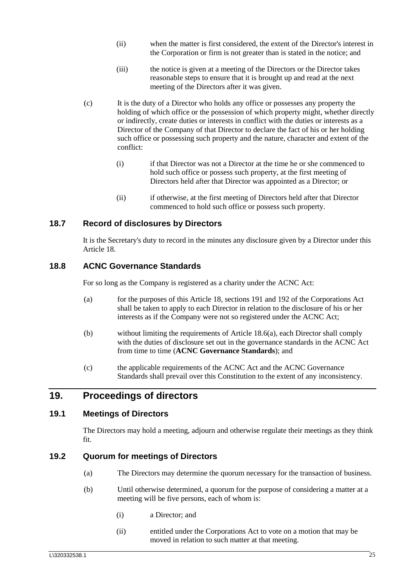- (ii) when the matter is first considered, the extent of the Director's interest in the Corporation or firm is not greater than is stated in the notice; and
- (iii) the notice is given at a meeting of the Directors or the Director takes reasonable steps to ensure that it is brought up and read at the next meeting of the Directors after it was given.
- (c) It is the duty of a Director who holds any office or possesses any property the holding of which office or the possession of which property might, whether directly or indirectly, create duties or interests in conflict with the duties or interests as a Director of the Company of that Director to declare the fact of his or her holding such office or possessing such property and the nature, character and extent of the conflict:
	- (i) if that Director was not a Director at the time he or she commenced to hold such office or possess such property, at the first meeting of Directors held after that Director was appointed as a Director; or
	- (ii) if otherwise, at the first meeting of Directors held after that Director commenced to hold such office or possess such property.

### <span id="page-29-0"></span>**18.7 Record of disclosures by Directors**

It is the Secretary's duty to record in the minutes any disclosure given by a Director under this Article [18.](#page-27-3)

### **18.8 ACNC Governance Standards**

For so long as the Company is registered as a charity under the ACNC Act:

- (a) for the purposes of this Article [18,](#page-27-3) sections 191 and 192 of the Corporations Act shall be taken to apply to each Director in relation to the disclosure of his or her interests as if the Company were not so registered under the ACNC Act;
- (b) without limiting the requirements of Article [18.6\(a\),](#page-28-4) each Director shall comply with the duties of disclosure set out in the governance standards in the ACNC Act from time to time (**ACNC Governance Standards**); and
- (c) the applicable requirements of the ACNC Act and the ACNC Governance Standards shall prevail over this Constitution to the extent of any inconsistency.

## <span id="page-29-1"></span>**19. Proceedings of directors**

### <span id="page-29-2"></span>**19.1 Meetings of Directors**

The Directors may hold a meeting, adjourn and otherwise regulate their meetings as they think fit.

### <span id="page-29-3"></span>**19.2 Quorum for meetings of Directors**

- (a) The Directors may determine the quorum necessary for the transaction of business.
- (b) Until otherwise determined, a quorum for the purpose of considering a matter at a meeting will be five persons, each of whom is:
	- (i) a Director; and
	- (ii) entitled under the Corporations Act to vote on a motion that may be moved in relation to such matter at that meeting.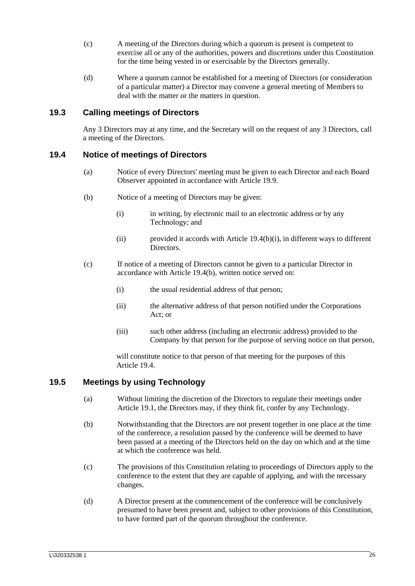- (c) A meeting of the Directors during which a quorum is present is competent to exercise all or any of the authorities, powers and discretions under this Constitution for the time being vested in or exercisable by the Directors generally.
- (d) Where a quorum cannot be established for a meeting of Directors (or consideration of a particular matter) a Director may convene a general meeting of Members to deal with the matter or the matters in question.

### <span id="page-30-0"></span>**19.3 Calling meetings of Directors**

Any 3 Directors may at any time, and the Secretary will on the request of any 3 Directors, call a meeting of the Directors.

#### <span id="page-30-7"></span><span id="page-30-1"></span>**19.4 Notice of meetings of Directors**

- (a) Notice of every Directors' meeting must be given to each Director and each Board Observer appointed in accordance with Article [19.9.](#page-32-0)
- <span id="page-30-4"></span><span id="page-30-3"></span>(b) Notice of a meeting of Directors may be given:
	- (i) in writing, by electronic mail to an electronic address or by any Technology; and
	- (ii) provided it accords with Article [19.4\(b\)\(i\),](#page-30-3) in different ways to different Directors.
- (c) If notice of a meeting of Directors cannot be given to a particular Director in accordance with Article [19.4\(b\),](#page-30-4) written notice served on:
	- (i) the usual residential address of that person;
	- (ii) the alternative address of that person notified under the Corporations Act; or
	- (iii) such other address (including an electronic address) provided to the Company by that person for the purpose of serving notice on that person,

will constitute notice to that person of that meeting for the purposes of this Article [19.4.](#page-30-1)

#### <span id="page-30-5"></span><span id="page-30-2"></span>**19.5 Meetings by using Technology**

- (a) Without limiting the discretion of the Directors to regulate their meetings under Article [19.1,](#page-29-2) the Directors may, if they think fit, confer by any Technology.
- <span id="page-30-6"></span>(b) Notwithstanding that the Directors are not present together in one place at the time of the conference, a resolution passed by the conference will be deemed to have been passed at a meeting of the Directors held on the day on which and at the time at which the conference was held.
- (c) The provisions of this Constitution relating to proceedings of Directors apply to the conference to the extent that they are capable of applying, and with the necessary changes.
- (d) A Director present at the commencement of the conference will be conclusively presumed to have been present and, subject to other provisions of this Constitution, to have formed part of the quorum throughout the conference.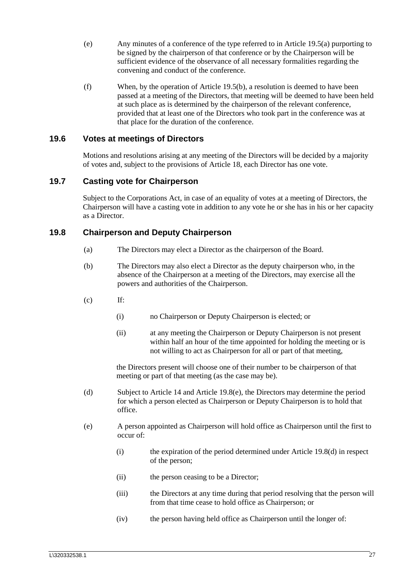- (e) Any minutes of a conference of the type referred to in Article [19.5\(a\)](#page-30-5) purporting to be signed by the chairperson of that conference or by the Chairperson will be sufficient evidence of the observance of all necessary formalities regarding the convening and conduct of the conference.
- (f) When, by the operation of Article [19.5\(b\),](#page-30-6) a resolution is deemed to have been passed at a meeting of the Directors, that meeting will be deemed to have been held at such place as is determined by the chairperson of the relevant conference, provided that at least one of the Directors who took part in the conference was at that place for the duration of the conference.

### <span id="page-31-0"></span>**19.6 Votes at meetings of Directors**

Motions and resolutions arising at any meeting of the Directors will be decided by a majority of votes and, subject to the provisions of Article [18,](#page-27-3) each Director has one vote.

## <span id="page-31-1"></span>**19.7 Casting vote for Chairperson**

Subject to the Corporations Act, in case of an equality of votes at a meeting of Directors, the Chairperson will have a casting vote in addition to any vote he or she has in his or her capacity as a Director.

### <span id="page-31-4"></span><span id="page-31-3"></span><span id="page-31-2"></span>**19.8 Chairperson and Deputy Chairperson**

- (a) The Directors may elect a Director as the chairperson of the Board.
- (b) The Directors may also elect a Director as the deputy chairperson who, in the absence of the Chairperson at a meeting of the Directors, may exercise all the powers and authorities of the Chairperson.
- $(c)$  If:
	- (i) no Chairperson or Deputy Chairperson is elected; or
	- (ii) at any meeting the Chairperson or Deputy Chairperson is not present within half an hour of the time appointed for holding the meeting or is not willing to act as Chairperson for all or part of that meeting,

the Directors present will choose one of their number to be chairperson of that meeting or part of that meeting (as the case may be).

- <span id="page-31-5"></span>(d) Subject to Article [14](#page-22-0) and Article 19.8(e), the Directors may determine the period for which a person elected as Chairperson or Deputy Chairperson is to hold that office.
- (e) A person appointed as Chairperson will hold office as Chairperson until the first to occur of:
	- (i) the expiration of the period determined under Article [19.8\(d\)](#page-31-5) in respect of the person;
	- (ii) the person ceasing to be a Director;
	- (iii) the Directors at any time during that period resolving that the person will from that time cease to hold office as Chairperson; or
	- (iv) the person having held office as Chairperson until the longer of: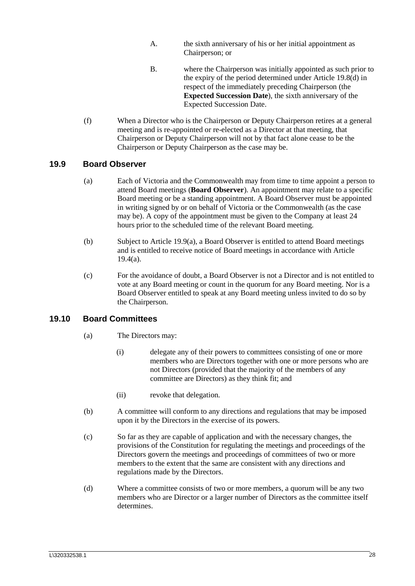- A. the sixth anniversary of his or her initial appointment as Chairperson; or
- B. where the Chairperson was initially appointed as such prior to the expiry of the period determined under Article 19.8(d) in respect of the immediately preceding Chairperson (the **Expected Succession Date**), the sixth anniversary of the Expected Succession Date.
- (f) When a Director who is the Chairperson or Deputy Chairperson retires at a general meeting and is re-appointed or re-elected as a Director at that meeting, that Chairperson or Deputy Chairperson will not by that fact alone cease to be the Chairperson or Deputy Chairperson as the case may be.

#### <span id="page-32-2"></span><span id="page-32-0"></span>**19.9 Board Observer**

- (a) Each of Victoria and the Commonwealth may from time to time appoint a person to attend Board meetings (**Board Observer**). An appointment may relate to a specific Board meeting or be a standing appointment. A Board Observer must be appointed in writing signed by or on behalf of Victoria or the Commonwealth (as the case may be). A copy of the appointment must be given to the Company at least 24 hours prior to the scheduled time of the relevant Board meeting.
- (b) Subject to Article [19.9\(a\),](#page-32-2) a Board Observer is entitled to attend Board meetings and is entitled to receive notice of Board meetings in accordance with Article  $19.4(a)$ .
- (c) For the avoidance of doubt, a Board Observer is not a Director and is not entitled to vote at any Board meeting or count in the quorum for any Board meeting. Nor is a Board Observer entitled to speak at any Board meeting unless invited to do so by the Chairperson.

#### <span id="page-32-1"></span>**19.10 Board Committees**

- (a) The Directors may:
	- (i) delegate any of their powers to committees consisting of one or more members who are Directors together with one or more persons who are not Directors (provided that the majority of the members of any committee are Directors) as they think fit; and
	- (ii) revoke that delegation.
- (b) A committee will conform to any directions and regulations that may be imposed upon it by the Directors in the exercise of its powers.
- (c) So far as they are capable of application and with the necessary changes, the provisions of the Constitution for regulating the meetings and proceedings of the Directors govern the meetings and proceedings of committees of two or more members to the extent that the same are consistent with any directions and regulations made by the Directors.
- (d) Where a committee consists of two or more members, a quorum will be any two members who are Director or a larger number of Directors as the committee itself determines.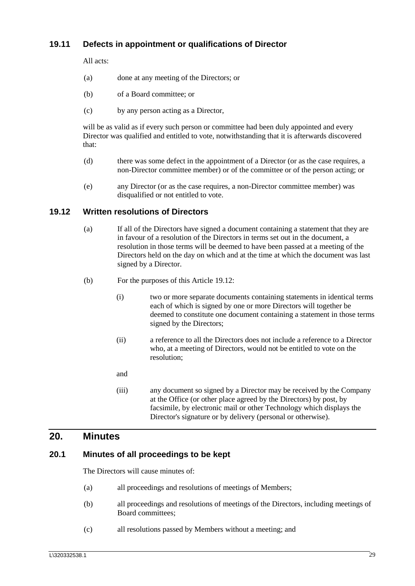## <span id="page-33-0"></span>**19.11 Defects in appointment or qualifications of Director**

All acts:

- (a) done at any meeting of the Directors; or
- (b) of a Board committee; or
- (c) by any person acting as a Director,

will be as valid as if every such person or committee had been duly appointed and every Director was qualified and entitled to vote, notwithstanding that it is afterwards discovered that:

- (d) there was some defect in the appointment of a Director (or as the case requires, a non-Director committee member) or of the committee or of the person acting; or
- (e) any Director (or as the case requires, a non-Director committee member) was disqualified or not entitled to vote.

#### <span id="page-33-1"></span>**19.12 Written resolutions of Directors**

- (a) If all of the Directors have signed a document containing a statement that they are in favour of a resolution of the Directors in terms set out in the document, a resolution in those terms will be deemed to have been passed at a meeting of the Directors held on the day on which and at the time at which the document was last signed by a Director.
- (b) For the purposes of this Article [19.12:](#page-33-1)
	- (i) two or more separate documents containing statements in identical terms each of which is signed by one or more Directors will together be deemed to constitute one document containing a statement in those terms signed by the Directors;
	- (ii) a reference to all the Directors does not include a reference to a Director who, at a meeting of Directors, would not be entitled to vote on the resolution;
	- and
	- (iii) any document so signed by a Director may be received by the Company at the Office (or other place agreed by the Directors) by post, by facsimile, by electronic mail or other Technology which displays the Director's signature or by delivery (personal or otherwise).

## <span id="page-33-2"></span>**20. Minutes**

#### <span id="page-33-4"></span><span id="page-33-3"></span>**20.1 Minutes of all proceedings to be kept**

The Directors will cause minutes of:

- (a) all proceedings and resolutions of meetings of Members;
- <span id="page-33-5"></span>(b) all proceedings and resolutions of meetings of the Directors, including meetings of Board committees;
- <span id="page-33-6"></span>(c) all resolutions passed by Members without a meeting; and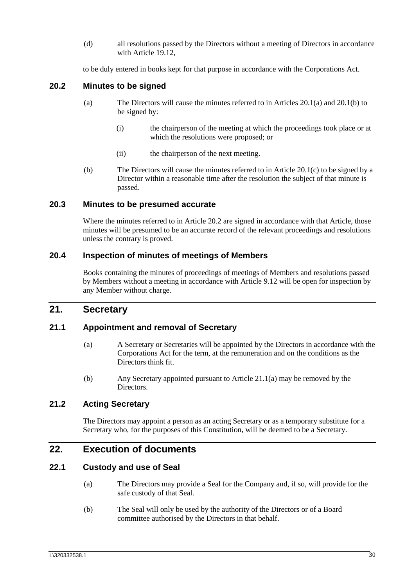(d) all resolutions passed by the Directors without a meeting of Directors in accordance with Article [19.12,](#page-33-1)

to be duly entered in books kept for that purpose in accordance with the Corporations Act.

#### <span id="page-34-0"></span>**20.2 Minutes to be signed**

- (a) The Directors will cause the minutes referred to in Articles [20.1\(a\)](#page-33-4) and [20.1\(b\)](#page-33-5) to be signed by:
	- (i) the chairperson of the meeting at which the proceedings took place or at which the resolutions were proposed; or
	- (ii) the chairperson of the next meeting.
- (b) The Directors will cause the minutes referred to in Article [20.1\(c\)](#page-33-6) to be signed by a Director within a reasonable time after the resolution the subject of that minute is passed.

#### <span id="page-34-1"></span>**20.3 Minutes to be presumed accurate**

Where the minutes referred to in Article [20.2](#page-34-0) are signed in accordance with that Article, those minutes will be presumed to be an accurate record of the relevant proceedings and resolutions unless the contrary is proved.

#### <span id="page-34-2"></span>**20.4 Inspection of minutes of meetings of Members**

Books containing the minutes of proceedings of meetings of Members and resolutions passed by Members without a meeting in accordance with Article [9.12](#page-18-0) will be open for inspection by any Member without charge.

## <span id="page-34-3"></span>**21. Secretary**

### <span id="page-34-8"></span><span id="page-34-4"></span>**21.1 Appointment and removal of Secretary**

- (a) A Secretary or Secretaries will be appointed by the Directors in accordance with the Corporations Act for the term, at the remuneration and on the conditions as the Directors think fit.
- (b) Any Secretary appointed pursuant to Article [21.1\(a\)](#page-34-8) may be removed by the **Directors**

### <span id="page-34-5"></span>**21.2 Acting Secretary**

The Directors may appoint a person as an acting Secretary or as a temporary substitute for a Secretary who, for the purposes of this Constitution, will be deemed to be a Secretary.

## <span id="page-34-6"></span>**22. Execution of documents**

#### <span id="page-34-7"></span>**22.1 Custody and use of Seal**

- (a) The Directors may provide a Seal for the Company and, if so, will provide for the safe custody of that Seal.
- (b) The Seal will only be used by the authority of the Directors or of a Board committee authorised by the Directors in that behalf.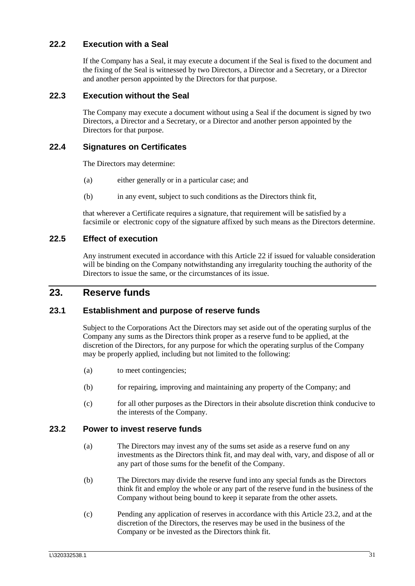## <span id="page-35-0"></span>**22.2 Execution with a Seal**

If the Company has a Seal, it may execute a document if the Seal is fixed to the document and the fixing of the Seal is witnessed by two Directors, a Director and a Secretary, or a Director and another person appointed by the Directors for that purpose.

### <span id="page-35-1"></span>**22.3 Execution without the Seal**

The Company may execute a document without using a Seal if the document is signed by two Directors, a Director and a Secretary, or a Director and another person appointed by the Directors for that purpose.

#### <span id="page-35-2"></span>**22.4 Signatures on Certificates**

The Directors may determine:

- (a) either generally or in a particular case; and
- (b) in any event, subject to such conditions as the Directors think fit,

that wherever a Certificate requires a signature, that requirement will be satisfied by a facsimile or electronic copy of the signature affixed by such means as the Directors determine.

#### <span id="page-35-3"></span>**22.5 Effect of execution**

Any instrument executed in accordance with this Article [22](#page-34-6) if issued for valuable consideration will be binding on the Company notwithstanding any irregularity touching the authority of the Directors to issue the same, or the circumstances of its issue.

## <span id="page-35-4"></span>**23. Reserve funds**

### <span id="page-35-5"></span>**23.1 Establishment and purpose of reserve funds**

Subject to the Corporations Act the Directors may set aside out of the operating surplus of the Company any sums as the Directors think proper as a reserve fund to be applied, at the discretion of the Directors, for any purpose for which the operating surplus of the Company may be properly applied, including but not limited to the following:

- (a) to meet contingencies;
- (b) for repairing, improving and maintaining any property of the Company; and
- (c) for all other purposes as the Directors in their absolute discretion think conducive to the interests of the Company.

#### <span id="page-35-6"></span>**23.2 Power to invest reserve funds**

- (a) The Directors may invest any of the sums set aside as a reserve fund on any investments as the Directors think fit, and may deal with, vary, and dispose of all or any part of those sums for the benefit of the Company.
- (b) The Directors may divide the reserve fund into any special funds as the Directors think fit and employ the whole or any part of the reserve fund in the business of the Company without being bound to keep it separate from the other assets.
- (c) Pending any application of reserves in accordance with this Article [23.2,](#page-35-6) and at the discretion of the Directors, the reserves may be used in the business of the Company or be invested as the Directors think fit.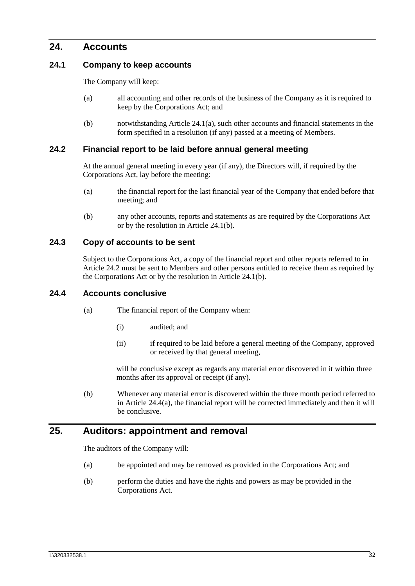## <span id="page-36-0"></span>**24. Accounts**

#### <span id="page-36-6"></span><span id="page-36-1"></span>**24.1 Company to keep accounts**

The Company will keep:

- (a) all accounting and other records of the business of the Company as it is required to keep by the Corporations Act; and
- (b) notwithstanding Article [24.1\(a\),](#page-36-6) such other accounts and financial statements in the form specified in a resolution (if any) passed at a meeting of Members.

### <span id="page-36-7"></span><span id="page-36-2"></span>**24.2 Financial report to be laid before annual general meeting**

At the annual general meeting in every year (if any), the Directors will, if required by the Corporations Act, lay before the meeting:

- (a) the financial report for the last financial year of the Company that ended before that meeting; and
- (b) any other accounts, reports and statements as are required by the Corporations Act or by the resolution in Article [24.1\(b\).](#page-36-7)

### <span id="page-36-3"></span>**24.3 Copy of accounts to be sent**

Subject to the Corporations Act, a copy of the financial report and other reports referred to in Article [24.2](#page-36-2) must be sent to Members and other persons entitled to receive them as required by the Corporations Act or by the resolution in Article [24.1\(b\).](#page-36-7)

#### <span id="page-36-8"></span><span id="page-36-4"></span>**24.4 Accounts conclusive**

- (a) The financial report of the Company when:
	- (i) audited; and
	- (ii) if required to be laid before a general meeting of the Company, approved or received by that general meeting,

will be conclusive except as regards any material error discovered in it within three months after its approval or receipt (if any).

(b) Whenever any material error is discovered within the three month period referred to in Article [24.4\(a\),](#page-36-8) the financial report will be corrected immediately and then it will be conclusive.

## <span id="page-36-5"></span>**25. Auditors: appointment and removal**

The auditors of the Company will:

- (a) be appointed and may be removed as provided in the Corporations Act; and
- (b) perform the duties and have the rights and powers as may be provided in the Corporations Act.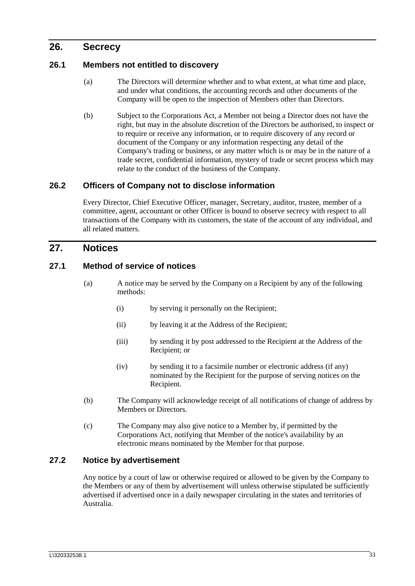## <span id="page-37-0"></span>**26. Secrecy**

#### <span id="page-37-1"></span>**26.1 Members not entitled to discovery**

- (a) The Directors will determine whether and to what extent, at what time and place, and under what conditions, the accounting records and other documents of the Company will be open to the inspection of Members other than Directors.
- (b) Subject to the Corporations Act, a Member not being a Director does not have the right, but may in the absolute discretion of the Directors be authorised, to inspect or to require or receive any information, or to require discovery of any record or document of the Company or any information respecting any detail of the Company's trading or business, or any matter which is or may be in the nature of a trade secret, confidential information, mystery of trade or secret process which may relate to the conduct of the business of the Company.

### <span id="page-37-2"></span>**26.2 Officers of Company not to disclose information**

Every Director, Chief Executive Officer, manager, Secretary, auditor, trustee, member of a committee, agent, accountant or other Officer is bound to observe secrecy with respect to all transactions of the Company with its customers, the state of the account of any individual, and all related matters.

## <span id="page-37-3"></span>**27. Notices**

#### <span id="page-37-4"></span>**27.1 Method of service of notices**

- (a) A notice may be served by the Company on a Recipient by any of the following methods:
	- (i) by serving it personally on the Recipient;
	- (ii) by leaving it at the Address of the Recipient;
	- (iii) by sending it by post addressed to the Recipient at the Address of the Recipient; or
	- (iv) by sending it to a facsimile number or electronic address (if any) nominated by the Recipient for the purpose of serving notices on the Recipient.
- <span id="page-37-6"></span>(b) The Company will acknowledge receipt of all notifications of change of address by Members or Directors.
- (c) The Company may also give notice to a Member by, if permitted by the Corporations Act, notifying that Member of the notice's availability by an electronic means nominated by the Member for that purpose.

#### <span id="page-37-5"></span>**27.2 Notice by advertisement**

Any notice by a court of law or otherwise required or allowed to be given by the Company to the Members or any of them by advertisement will unless otherwise stipulated be sufficiently advertised if advertised once in a daily newspaper circulating in the states and territories of Australia.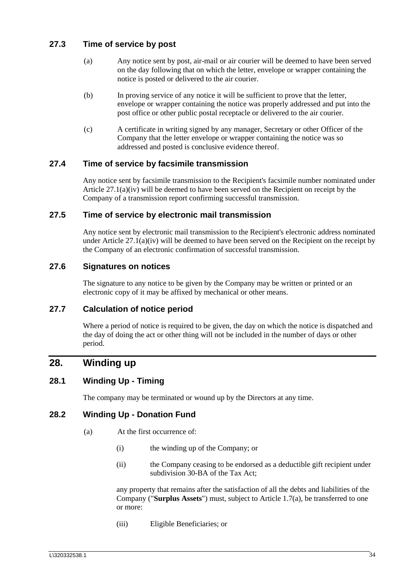## <span id="page-38-0"></span>**27.3 Time of service by post**

- (a) Any notice sent by post, air-mail or air courier will be deemed to have been served on the day following that on which the letter, envelope or wrapper containing the notice is posted or delivered to the air courier.
- (b) In proving service of any notice it will be sufficient to prove that the letter, envelope or wrapper containing the notice was properly addressed and put into the post office or other public postal receptacle or delivered to the air courier.
- (c) A certificate in writing signed by any manager, Secretary or other Officer of the Company that the letter envelope or wrapper containing the notice was so addressed and posted is conclusive evidence thereof.

### <span id="page-38-1"></span>**27.4 Time of service by facsimile transmission**

Any notice sent by facsimile transmission to the Recipient's facsimile number nominated under Article [27.1\(a\)\(iv\)](#page-37-6) will be deemed to have been served on the Recipient on receipt by the Company of a transmission report confirming successful transmission.

### <span id="page-38-2"></span>**27.5 Time of service by electronic mail transmission**

Any notice sent by electronic mail transmission to the Recipient's electronic address nominated under Article  $27.1(a)(iv)$  will be deemed to have been served on the Recipient on the receipt by the Company of an electronic confirmation of successful transmission.

### <span id="page-38-3"></span>**27.6 Signatures on notices**

The signature to any notice to be given by the Company may be written or printed or an electronic copy of it may be affixed by mechanical or other means.

### <span id="page-38-4"></span>**27.7 Calculation of notice period**

Where a period of notice is required to be given, the day on which the notice is dispatched and the day of doing the act or other thing will not be included in the number of days or other period.

## <span id="page-38-5"></span>**28. Winding up**

## <span id="page-38-6"></span>**28.1 Winding Up - Timing**

The company may be terminated or wound up by the Directors at any time.

### <span id="page-38-7"></span>**28.2 Winding Up - Donation Fund**

- (a) At the first occurrence of:
	- (i) the winding up of the Company; or
	- (ii) the Company ceasing to be endorsed as a deductible gift recipient under subdivision 30-BA of the Tax Act;

any property that remains after the satisfaction of all the debts and liabilities of the Company ("**Surplus Assets**") must, subject to Article 1.7(a), be transferred to one or more:

<span id="page-38-8"></span>(iii) Eligible Beneficiaries; or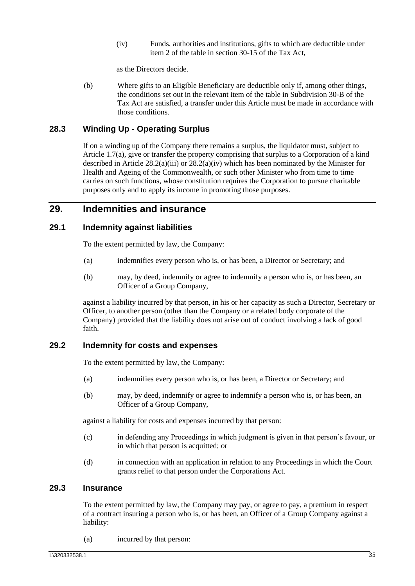(iv) Funds, authorities and institutions, gifts to which are deductible under item 2 of the table in section 30-15 of the Tax Act,

as the Directors decide.

<span id="page-39-5"></span>(b) Where gifts to an Eligible Beneficiary are deductible only if, among other things, the conditions set out in the relevant item of the table in Subdivision 30-B of the Tax Act are satisfied, a transfer under this Article must be made in accordance with those conditions.

## <span id="page-39-0"></span>**28.3 Winding Up - Operating Surplus**

If on a winding up of the Company there remains a surplus, the liquidator must, subject to Article 1.7(a), give or transfer the property comprising that surplus to a Corporation of a kind described in Article [28.2\(a\)\(iii\)](#page-38-8) or [28.2\(a\)\(iv\)](#page-39-5) which has been nominated by the Minister for Health and Ageing of the Commonwealth, or such other Minister who from time to time carries on such functions, whose constitution requires the Corporation to pursue charitable purposes only and to apply its income in promoting those purposes.

## <span id="page-39-1"></span>**29. Indemnities and insurance**

### <span id="page-39-2"></span>**29.1 Indemnity against liabilities**

To the extent permitted by law, the Company:

- (a) indemnifies every person who is, or has been, a Director or Secretary; and
- (b) may, by deed, indemnify or agree to indemnify a person who is, or has been, an Officer of a Group Company,

against a liability incurred by that person, in his or her capacity as such a Director, Secretary or Officer, to another person (other than the Company or a related body corporate of the Company) provided that the liability does not arise out of conduct involving a lack of good faith.

#### <span id="page-39-3"></span>**29.2 Indemnity for costs and expenses**

To the extent permitted by law, the Company:

- (a) indemnifies every person who is, or has been, a Director or Secretary; and
- (b) may, by deed, indemnify or agree to indemnify a person who is, or has been, an Officer of a Group Company,

against a liability for costs and expenses incurred by that person:

- (c) in defending any Proceedings in which judgment is given in that person's favour, or in which that person is acquitted; or
- (d) in connection with an application in relation to any Proceedings in which the Court grants relief to that person under the Corporations Act.

### <span id="page-39-4"></span>**29.3 Insurance**

To the extent permitted by law, the Company may pay, or agree to pay, a premium in respect of a contract insuring a person who is, or has been, an Officer of a Group Company against a liability:

(a) incurred by that person: